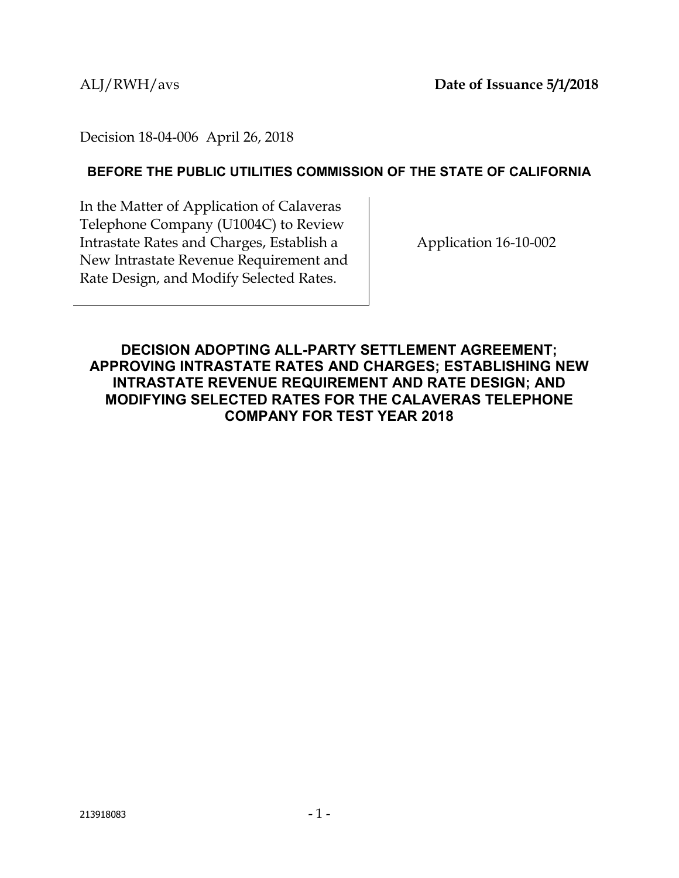Decision 18-04-006 April 26, 2018

# **BEFORE THE PUBLIC UTILITIES COMMISSION OF THE STATE OF CALIFORNIA**

In the Matter of Application of Calaveras Telephone Company (U1004C) to Review Intrastate Rates and Charges, Establish a New Intrastate Revenue Requirement and Rate Design, and Modify Selected Rates.

Application 16-10-002

# **DECISION ADOPTING ALL-PARTY SETTLEMENT AGREEMENT; APPROVING INTRASTATE RATES AND CHARGES; ESTABLISHING NEW INTRASTATE REVENUE REQUIREMENT AND RATE DESIGN; AND MODIFYING SELECTED RATES FOR THE CALAVERAS TELEPHONE COMPANY FOR TEST YEAR 2018**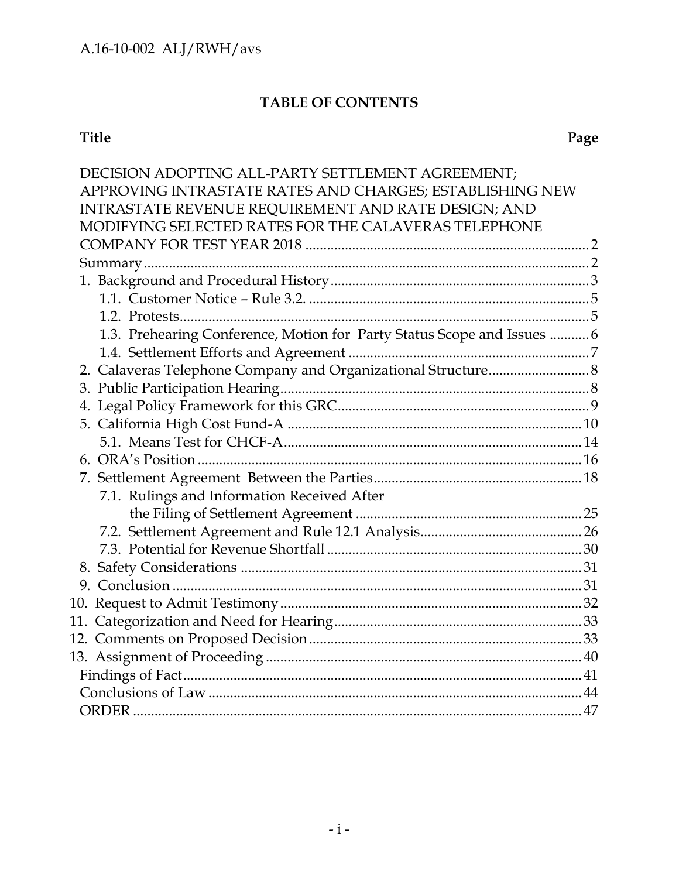# **TABLE OF CONTENTS**

# **Title Page**

| DECISION ADOPTING ALL-PARTY SETTLEMENT AGREEMENT;                       |  |
|-------------------------------------------------------------------------|--|
| APPROVING INTRASTATE RATES AND CHARGES; ESTABLISHING NEW                |  |
| INTRASTATE REVENUE REQUIREMENT AND RATE DESIGN; AND                     |  |
| MODIFYING SELECTED RATES FOR THE CALAVERAS TELEPHONE                    |  |
|                                                                         |  |
|                                                                         |  |
|                                                                         |  |
|                                                                         |  |
|                                                                         |  |
| 1.3. Prehearing Conference, Motion for Party Status Scope and Issues  6 |  |
|                                                                         |  |
| 2. Calaveras Telephone Company and Organizational Structure 8           |  |
|                                                                         |  |
|                                                                         |  |
|                                                                         |  |
|                                                                         |  |
|                                                                         |  |
|                                                                         |  |
| 7.1. Rulings and Information Received After                             |  |
|                                                                         |  |
|                                                                         |  |
|                                                                         |  |
|                                                                         |  |
|                                                                         |  |
|                                                                         |  |
|                                                                         |  |
|                                                                         |  |
|                                                                         |  |
|                                                                         |  |
|                                                                         |  |
|                                                                         |  |
|                                                                         |  |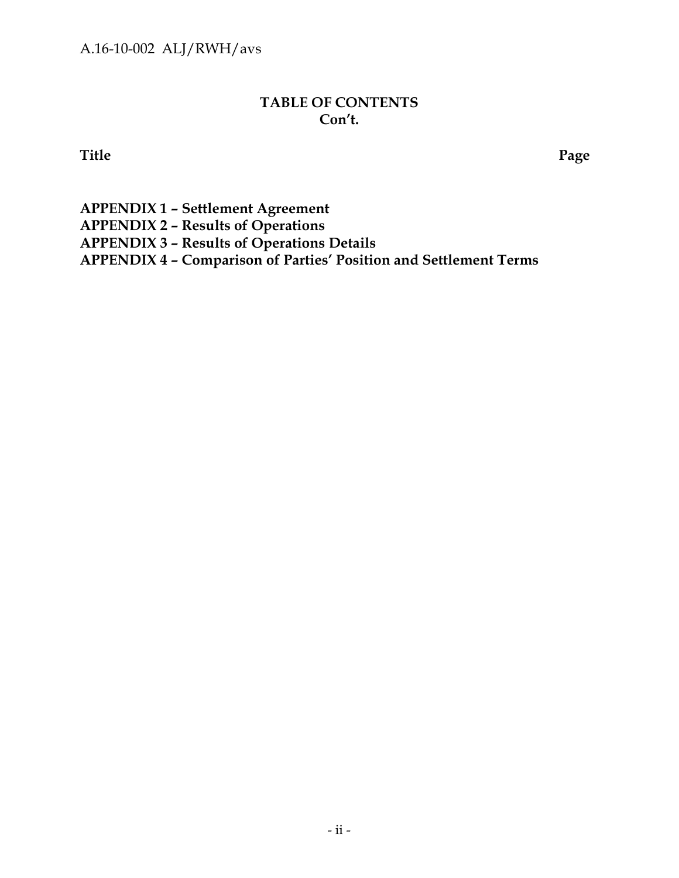# **TABLE OF CONTENTS Con't.**

**Title Page**

**APPENDIX 1 – Settlement Agreement APPENDIX 2 – Results of Operations APPENDIX 3 – Results of Operations Details APPENDIX 4 – Comparison of Parties' Position and Settlement Terms**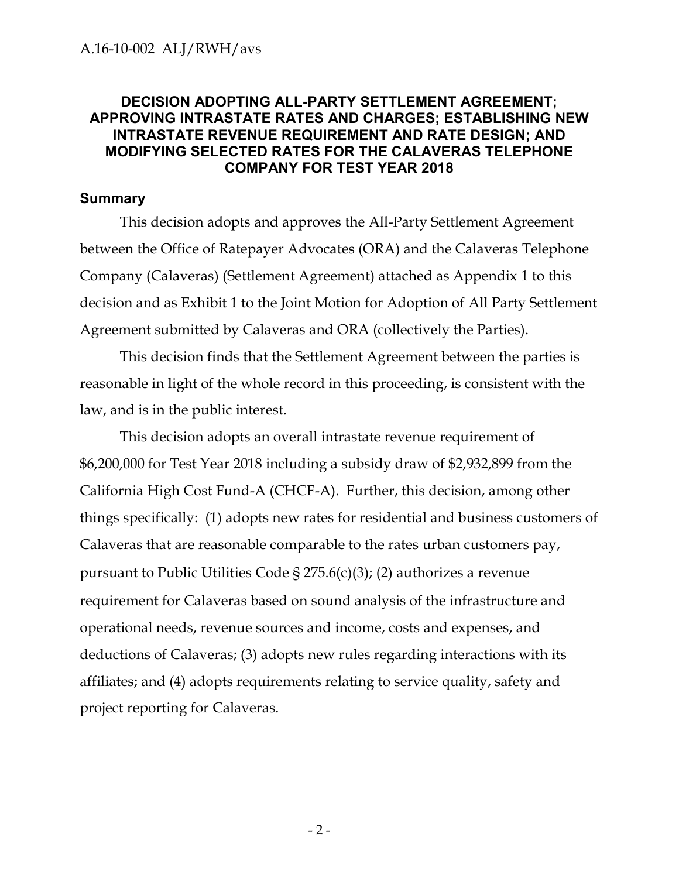## <span id="page-3-0"></span>**DECISION ADOPTING ALL-PARTY SETTLEMENT AGREEMENT; APPROVING INTRASTATE RATES AND CHARGES; ESTABLISHING NEW INTRASTATE REVENUE REQUIREMENT AND RATE DESIGN; AND MODIFYING SELECTED RATES FOR THE CALAVERAS TELEPHONE COMPANY FOR TEST YEAR 2018**

#### <span id="page-3-1"></span>**Summary**

This decision adopts and approves the All-Party Settlement Agreement between the Office of Ratepayer Advocates (ORA) and the Calaveras Telephone Company (Calaveras) (Settlement Agreement) attached as Appendix 1 to this decision and as Exhibit 1 to the Joint Motion for Adoption of All Party Settlement Agreement submitted by Calaveras and ORA (collectively the Parties).

This decision finds that the Settlement Agreement between the parties is reasonable in light of the whole record in this proceeding, is consistent with the law, and is in the public interest.

This decision adopts an overall intrastate revenue requirement of \$6,200,000 for Test Year 2018 including a subsidy draw of \$2,932,899 from the California High Cost Fund-A (CHCF-A). Further, this decision, among other things specifically: (1) adopts new rates for residential and business customers of Calaveras that are reasonable comparable to the rates urban customers pay, pursuant to Public Utilities Code § 275.6(c)(3); (2) authorizes a revenue requirement for Calaveras based on sound analysis of the infrastructure and operational needs, revenue sources and income, costs and expenses, and deductions of Calaveras; (3) adopts new rules regarding interactions with its affiliates; and (4) adopts requirements relating to service quality, safety and project reporting for Calaveras.

- 2 -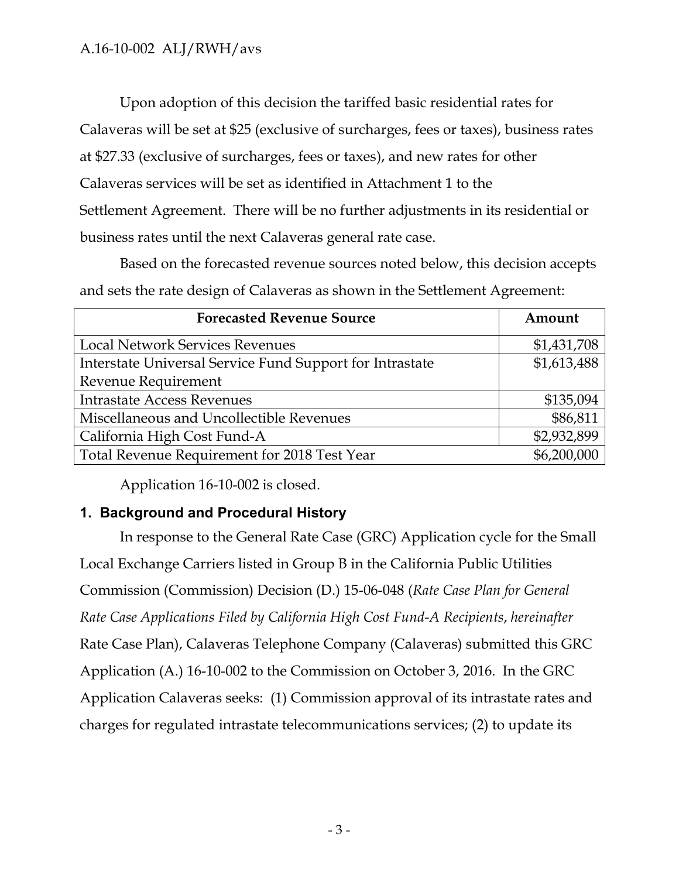Upon adoption of this decision the tariffed basic residential rates for Calaveras will be set at \$25 (exclusive of surcharges, fees or taxes), business rates at \$27.33 (exclusive of surcharges, fees or taxes), and new rates for other Calaveras services will be set as identified in Attachment 1 to the Settlement Agreement. There will be no further adjustments in its residential or business rates until the next Calaveras general rate case.

Based on the forecasted revenue sources noted below, this decision accepts and sets the rate design of Calaveras as shown in the Settlement Agreement:

| <b>Forecasted Revenue Source</b>                         | Amount      |
|----------------------------------------------------------|-------------|
| <b>Local Network Services Revenues</b>                   | \$1,431,708 |
| Interstate Universal Service Fund Support for Intrastate | \$1,613,488 |
| Revenue Requirement                                      |             |
| <b>Intrastate Access Revenues</b>                        | \$135,094   |
| Miscellaneous and Uncollectible Revenues                 | \$86,811    |
| California High Cost Fund-A                              | \$2,932,899 |
| Total Revenue Requirement for 2018 Test Year             | \$6,200,000 |

Application 16-10-002 is closed.

# <span id="page-4-0"></span>**1. Background and Procedural History**

In response to the General Rate Case (GRC) Application cycle for the Small Local Exchange Carriers listed in Group B in the California Public Utilities Commission (Commission) Decision (D.) 15-06-048 (*Rate Case Plan for General Rate Case Applications Filed by California High Cost Fund-A Recipients*, *hereinafter* Rate Case Plan), Calaveras Telephone Company (Calaveras) submitted this GRC Application (A.) 16-10-002 to the Commission on October 3, 2016. In the GRC Application Calaveras seeks: (1) Commission approval of its intrastate rates and charges for regulated intrastate telecommunications services; (2) to update its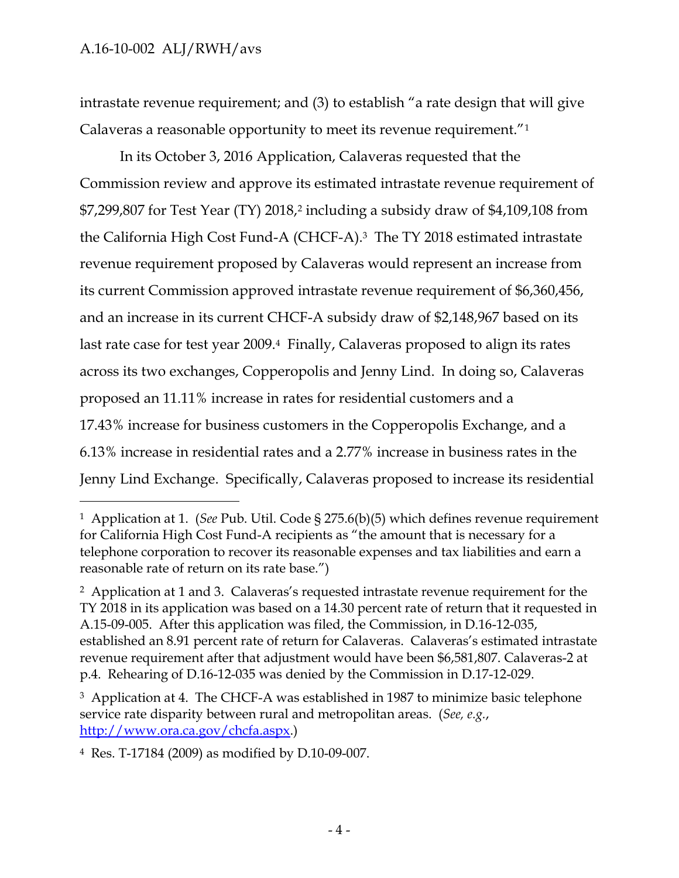$\overline{a}$ 

intrastate revenue requirement; and (3) to establish "a rate design that will give Calaveras a reasonable opportunity to meet its revenue requirement."<sup>1</sup>

In its October 3, 2016 Application, Calaveras requested that the Commission review and approve its estimated intrastate revenue requirement of \$7,299,807 for Test Year (TY) 2018,<sup>2</sup> including a subsidy draw of \$4,109,108 from the California High Cost Fund-A (CHCF-A).3 The TY 2018 estimated intrastate revenue requirement proposed by Calaveras would represent an increase from its current Commission approved intrastate revenue requirement of \$6,360,456, and an increase in its current CHCF-A subsidy draw of \$2,148,967 based on its last rate case for test year 2009.4 Finally, Calaveras proposed to align its rates across its two exchanges, Copperopolis and Jenny Lind. In doing so, Calaveras proposed an 11.11% increase in rates for residential customers and a 17.43% increase for business customers in the Copperopolis Exchange, and a 6.13% increase in residential rates and a 2.77% increase in business rates in the Jenny Lind Exchange. Specifically, Calaveras proposed to increase its residential

4 Res. T-17184 (2009) as modified by D.10-09-007.

<sup>1</sup> Application at 1. (*See* Pub. Util. Code § 275.6(b)(5) which defines revenue requirement for California High Cost Fund-A recipients as "the amount that is necessary for a telephone corporation to recover its reasonable expenses and tax liabilities and earn a reasonable rate of return on its rate base.")

<sup>2</sup> Application at 1 and 3. Calaveras's requested intrastate revenue requirement for the TY 2018 in its application was based on a 14.30 percent rate of return that it requested in A.15-09-005. After this application was filed, the Commission, in D.16-12-035, established an 8.91 percent rate of return for Calaveras. Calaveras's estimated intrastate revenue requirement after that adjustment would have been \$6,581,807. Calaveras-2 at p.4. Rehearing of D.16-12-035 was denied by the Commission in D.17-12-029.

<sup>&</sup>lt;sup>3</sup> Application at 4. The CHCF-A was established in 1987 to minimize basic telephone service rate disparity between rural and metropolitan areas. (*See, e.g.*, [http://www.ora.ca.gov/chcfa.aspx.](http://www.ora.ca.gov/chcfa.aspx))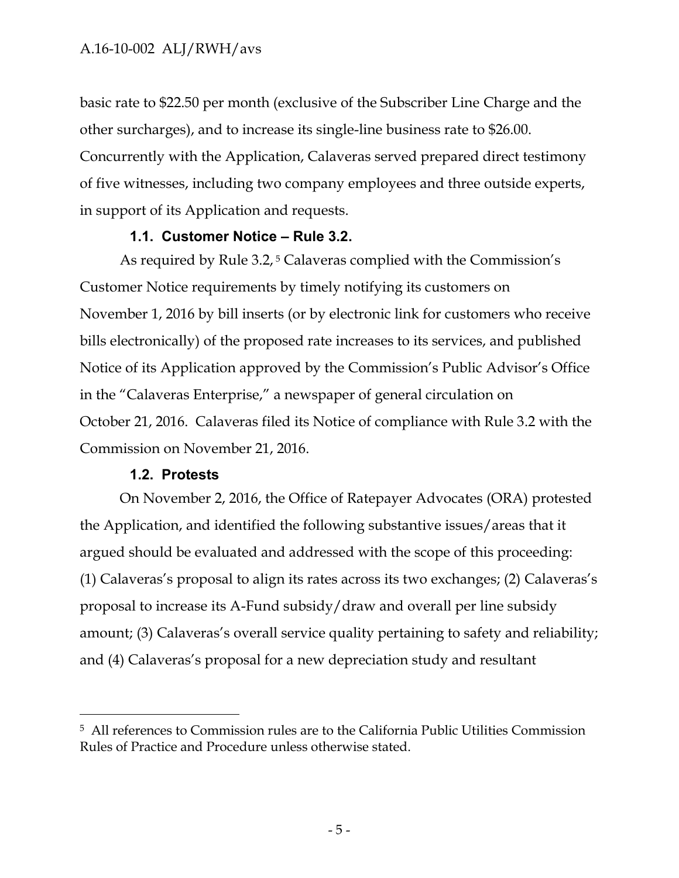basic rate to \$22.50 per month (exclusive of the Subscriber Line Charge and the other surcharges), and to increase its single-line business rate to \$26.00. Concurrently with the Application, Calaveras served prepared direct testimony of five witnesses, including two company employees and three outside experts, in support of its Application and requests.

### **1.1. Customer Notice – Rule 3.2.**

<span id="page-6-0"></span>As required by Rule 3.2,<sup>5</sup> Calaveras complied with the Commission's Customer Notice requirements by timely notifying its customers on November 1, 2016 by bill inserts (or by electronic link for customers who receive bills electronically) of the proposed rate increases to its services, and published Notice of its Application approved by the Commission's Public Advisor's Office in the "Calaveras Enterprise," a newspaper of general circulation on October 21, 2016. Calaveras filed its Notice of compliance with Rule 3.2 with the Commission on November 21, 2016.

# **1.2. Protests**

 $\overline{a}$ 

<span id="page-6-1"></span>On November 2, 2016, the Office of Ratepayer Advocates (ORA) protested the Application, and identified the following substantive issues/areas that it argued should be evaluated and addressed with the scope of this proceeding: (1) Calaveras's proposal to align its rates across its two exchanges; (2) Calaveras's proposal to increase its A-Fund subsidy/draw and overall per line subsidy amount; (3) Calaveras's overall service quality pertaining to safety and reliability; and (4) Calaveras's proposal for a new depreciation study and resultant

<sup>5</sup> All references to Commission rules are to the California Public Utilities Commission Rules of Practice and Procedure unless otherwise stated.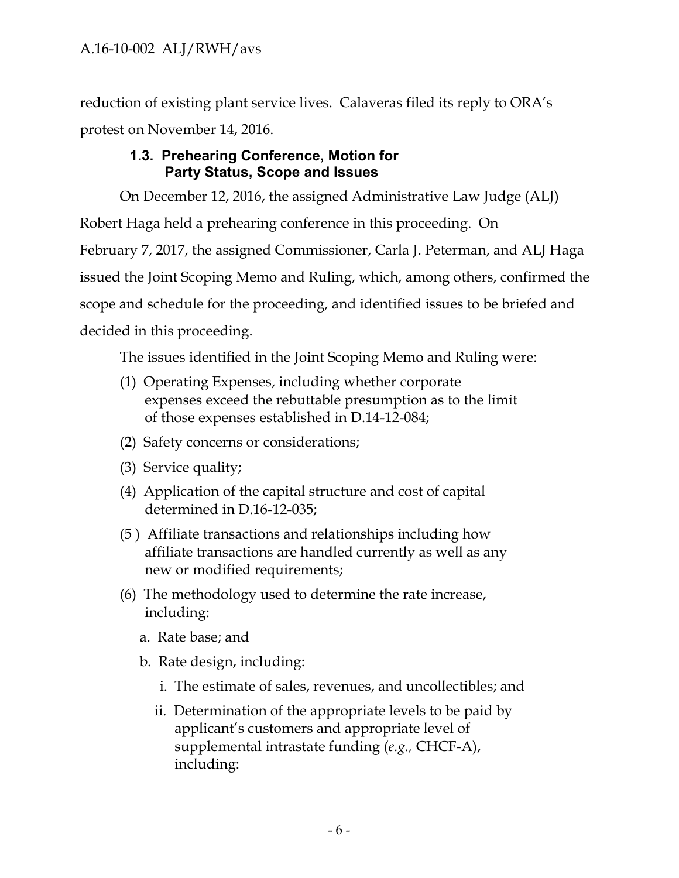reduction of existing plant service lives. Calaveras filed its reply to ORA's protest on November 14, 2016.

# **1.3. Prehearing Conference, Motion for Party Status, Scope and Issues**

<span id="page-7-0"></span>On December 12, 2016, the assigned Administrative Law Judge (ALJ) Robert Haga held a prehearing conference in this proceeding. On February 7, 2017, the assigned Commissioner, Carla J. Peterman, and ALJ Haga issued the Joint Scoping Memo and Ruling, which, among others, confirmed the scope and schedule for the proceeding, and identified issues to be briefed and decided in this proceeding.

The issues identified in the Joint Scoping Memo and Ruling were:

- (1) Operating Expenses, including whether corporate expenses exceed the rebuttable presumption as to the limit of those expenses established in D.14-12-084;
- (2) Safety concerns or considerations;
- (3) Service quality;
- (4) Application of the capital structure and cost of capital determined in D.16-12-035;
- (5 ) Affiliate transactions and relationships including how affiliate transactions are handled currently as well as any new or modified requirements;
- (6) The methodology used to determine the rate increase, including:
	- a. Rate base; and
	- b. Rate design, including:
		- i. The estimate of sales, revenues, and uncollectibles; and
		- ii. Determination of the appropriate levels to be paid by applicant's customers and appropriate level of supplemental intrastate funding (*e.g.,* CHCF-A), including: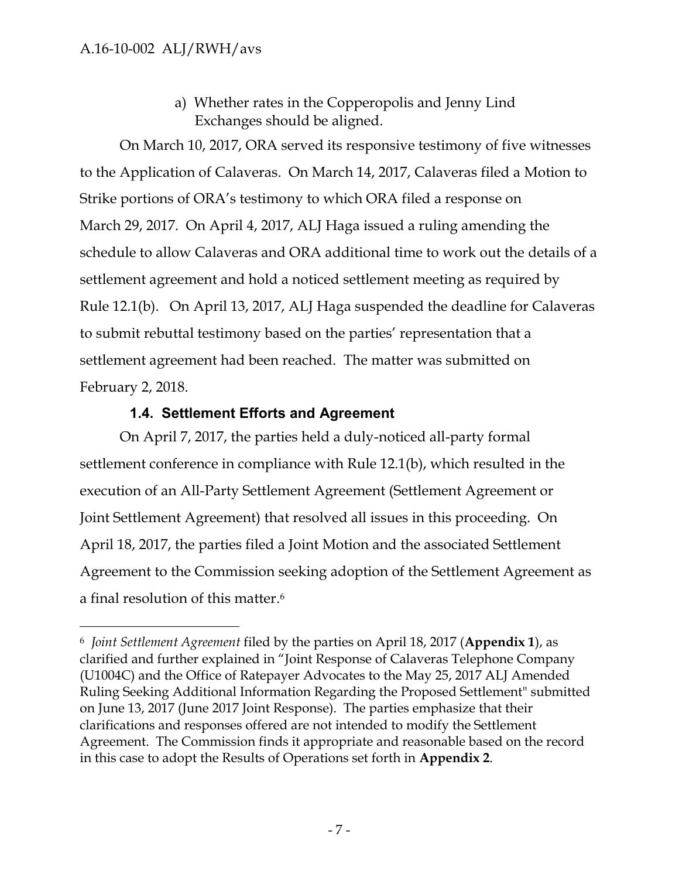$\overline{a}$ 

a) Whether rates in the Copperopolis and Jenny Lind Exchanges should be aligned.

On March 10, 2017, ORA served its responsive testimony of five witnesses to the Application of Calaveras. On March 14, 2017, Calaveras filed a Motion to Strike portions of ORA's testimony to which ORA filed a response on March 29, 2017. On April 4, 2017, ALJ Haga issued a ruling amending the schedule to allow Calaveras and ORA additional time to work out the details of a settlement agreement and hold a noticed settlement meeting as required by Rule 12.1(b). On April 13, 2017, ALJ Haga suspended the deadline for Calaveras to submit rebuttal testimony based on the parties' representation that a settlement agreement had been reached. The matter was submitted on February 2, 2018.

# **1.4. Settlement Efforts and Agreement**

<span id="page-8-0"></span>On April 7, 2017, the parties held a duly-noticed all-party formal settlement conference in compliance with Rule 12.1(b), which resulted in the execution of an All-Party Settlement Agreement (Settlement Agreement or Joint Settlement Agreement) that resolved all issues in this proceeding. On April 18, 2017, the parties filed a Joint Motion and the associated Settlement Agreement to the Commission seeking adoption of the Settlement Agreement as a final resolution of this matter. 6

<sup>6</sup> *Joint Settlement Agreement* filed by the parties on April 18, 2017 (**Appendix 1**), as clarified and further explained in "Joint Response of Calaveras Telephone Company (U1004C) and the Office of Ratepayer Advocates to the May 25, 2017 ALJ Amended Ruling Seeking Additional Information Regarding the Proposed Settlement" submitted on June 13, 2017 (June 2017 Joint Response). The parties emphasize that their clarifications and responses offered are not intended to modify the Settlement Agreement. The Commission finds it appropriate and reasonable based on the record in this case to adopt the Results of Operations set forth in **Appendix 2**.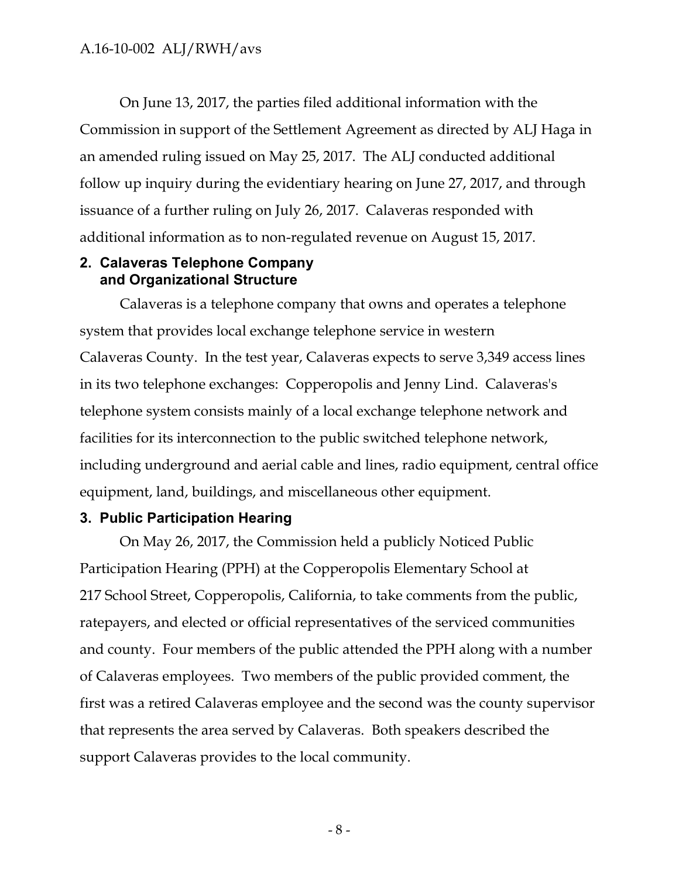On June 13, 2017, the parties filed additional information with the Commission in support of the Settlement Agreement as directed by ALJ Haga in an amended ruling issued on May 25, 2017. The ALJ conducted additional follow up inquiry during the evidentiary hearing on June 27, 2017, and through issuance of a further ruling on July 26, 2017. Calaveras responded with additional information as to non-regulated revenue on August 15, 2017.

### <span id="page-9-0"></span>**2. Calaveras Telephone Company and Organizational Structure**

Calaveras is a telephone company that owns and operates a telephone system that provides local exchange telephone service in western Calaveras County. In the test year, Calaveras expects to serve 3,349 access lines in its two telephone exchanges: Copperopolis and Jenny Lind. Calaveras's telephone system consists mainly of a local exchange telephone network and facilities for its interconnection to the public switched telephone network, including underground and aerial cable and lines, radio equipment, central office equipment, land, buildings, and miscellaneous other equipment.

# <span id="page-9-1"></span>**3. Public Participation Hearing**

On May 26, 2017, the Commission held a publicly Noticed Public Participation Hearing (PPH) at the Copperopolis Elementary School at 217 School Street, Copperopolis, California, to take comments from the public, ratepayers, and elected or official representatives of the serviced communities and county. Four members of the public attended the PPH along with a number of Calaveras employees. Two members of the public provided comment, the first was a retired Calaveras employee and the second was the county supervisor that represents the area served by Calaveras. Both speakers described the support Calaveras provides to the local community.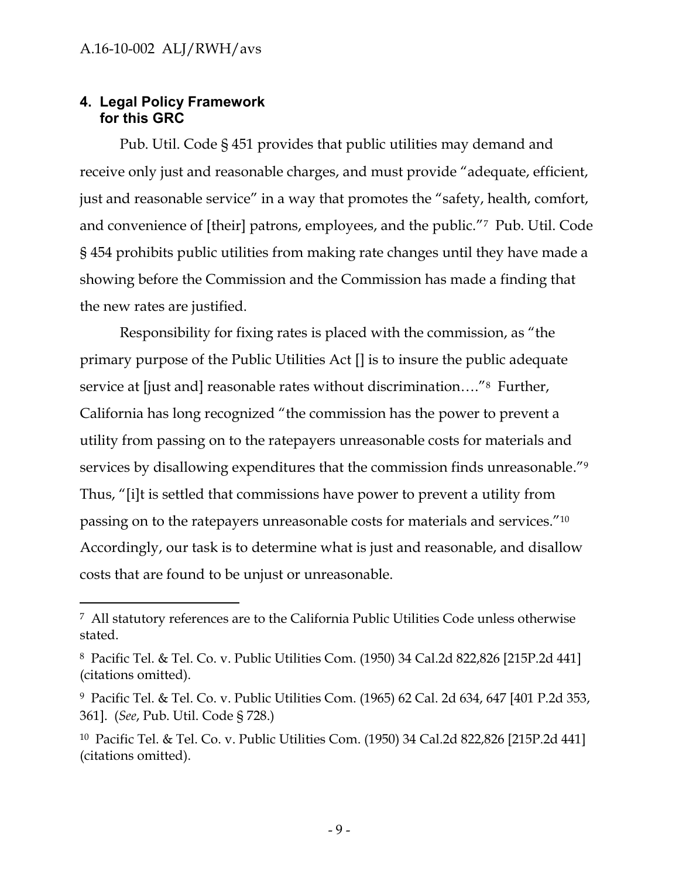# <span id="page-10-0"></span>**4. Legal Policy Framework for this GRC**

 $\overline{a}$ 

Pub. Util. Code § 451 provides that public utilities may demand and receive only just and reasonable charges, and must provide "adequate, efficient, just and reasonable service" in a way that promotes the "safety, health, comfort, and convenience of [their] patrons, employees, and the public."7 Pub. Util. Code § 454 prohibits public utilities from making rate changes until they have made a showing before the Commission and the Commission has made a finding that the new rates are justified.

Responsibility for fixing rates is placed with the commission, as "the primary purpose of the Public Utilities Act [] is to insure the public adequate service at [just and] reasonable rates without discrimination...."<sup>8</sup> Further, California has long recognized "the commission has the power to prevent a utility from passing on to the ratepayers unreasonable costs for materials and services by disallowing expenditures that the commission finds unreasonable.<sup>"9</sup> Thus, "[i]t is settled that commissions have power to prevent a utility from passing on to the ratepayers unreasonable costs for materials and services."<sup>10</sup> Accordingly, our task is to determine what is just and reasonable, and disallow costs that are found to be unjust or unreasonable.

<sup>7</sup> All statutory references are to the California Public Utilities Code unless otherwise stated.

<sup>8</sup> Pacific Tel. & Tel. Co. v. Public Utilities Com. (1950) 34 Cal.2d 822,826 [215P.2d 441] (citations omitted).

<sup>9</sup> Pacific Tel. & Tel. Co. v. Public Utilities Com. (1965) 62 Cal. 2d 634, 647 [401 P.2d 353, 361]. (*See*, Pub. Util. Code § 728.)

<sup>10</sup> Pacific Tel. & Tel. Co. v. Public Utilities Com. (1950) 34 Cal.2d 822,826 [215P.2d 441] (citations omitted).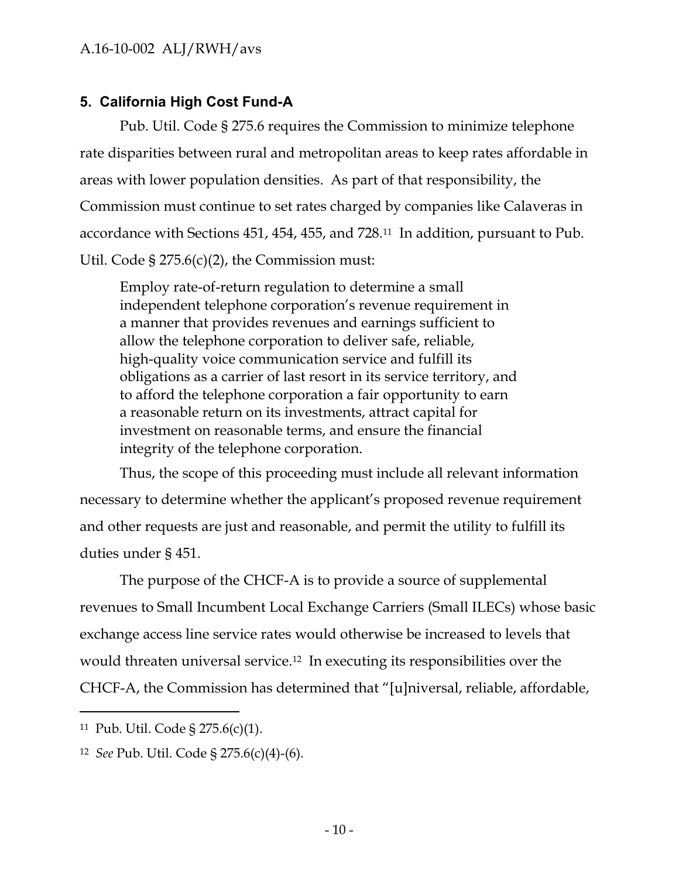# <span id="page-11-0"></span>**5. California High Cost Fund-A**

Pub. Util. Code § 275.6 requires the Commission to minimize telephone rate disparities between rural and metropolitan areas to keep rates affordable in areas with lower population densities. As part of that responsibility, the Commission must continue to set rates charged by companies like Calaveras in accordance with Sections 451, 454, 455, and 728.11 In addition, pursuant to Pub. Util. Code  $\S 275.6(c)(2)$ , the Commission must:

Employ rate-of-return regulation to determine a small independent telephone corporation's revenue requirement in a manner that provides revenues and earnings sufficient to allow the telephone corporation to deliver safe, reliable, high-quality voice communication service and fulfill its obligations as a carrier of last resort in its service territory, and to afford the telephone corporation a fair opportunity to earn a reasonable return on its investments, attract capital for investment on reasonable terms, and ensure the financial integrity of the telephone corporation.

Thus, the scope of this proceeding must include all relevant information necessary to determine whether the applicant's proposed revenue requirement and other requests are just and reasonable, and permit the utility to fulfill its duties under § 451.

The purpose of the CHCF-A is to provide a source of supplemental revenues to Small Incumbent Local Exchange Carriers (Small ILECs) whose basic exchange access line service rates would otherwise be increased to levels that would threaten universal service.12 In executing its responsibilities over the CHCF-A, the Commission has determined that "[u]niversal, reliable, affordable,

<sup>11</sup> Pub. Util. Code § 275.6(c)(1).

<sup>12</sup> *See* Pub. Util. Code § 275.6(c)(4)-(6).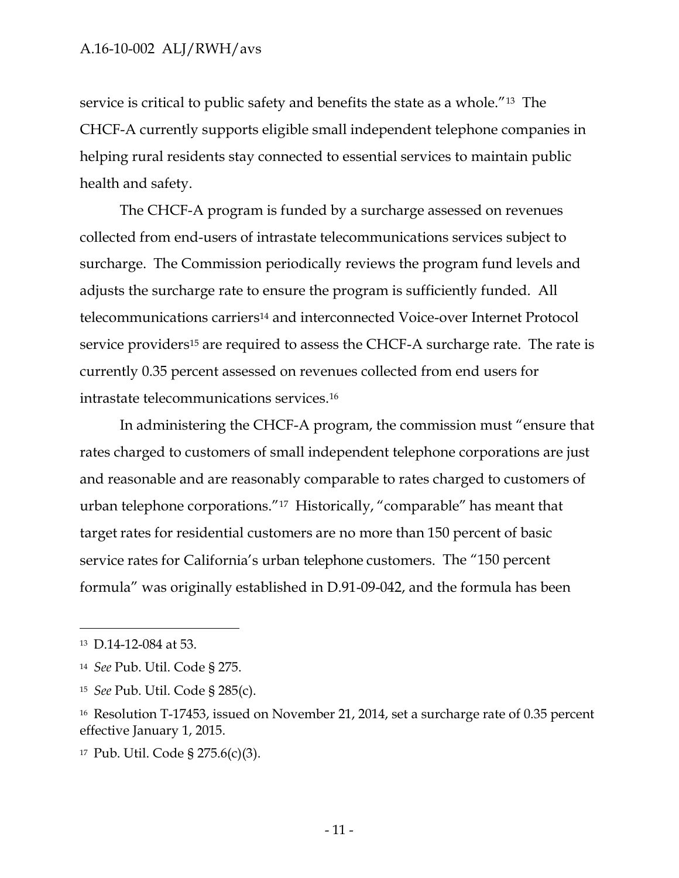service is critical to public safety and benefits the state as a whole."13 The CHCF-A currently supports eligible small independent telephone companies in helping rural residents stay connected to essential services to maintain public health and safety.

The CHCF-A program is funded by a surcharge assessed on revenues collected from end-users of intrastate telecommunications services subject to surcharge. The Commission periodically reviews the program fund levels and adjusts the surcharge rate to ensure the program is sufficiently funded. All telecommunications carriers<sup>14</sup> and interconnected Voice-over Internet Protocol service providers<sup>15</sup> are required to assess the CHCF-A surcharge rate. The rate is currently 0.35 percent assessed on revenues collected from end users for intrastate telecommunications services.<sup>16</sup>

In administering the CHCF-A program, the commission must "ensure that rates charged to customers of small independent telephone corporations are just and reasonable and are reasonably comparable to rates charged to customers of urban telephone corporations."17 Historically, "comparable" has meant that target rates for residential customers are no more than 150 percent of basic service rates for California's urban telephone customers. The "150 percent formula" was originally established in D.91-09-042, and the formula has been

<sup>13</sup> D.14-12-084 at 53.

<sup>14</sup> *See* Pub. Util. Code § 275.

<sup>15</sup> *See* Pub. Util. Code § 285(c).

<sup>16</sup> Resolution T-17453, issued on November 21, 2014, set a surcharge rate of 0.35 percent effective January 1, 2015.

<sup>17</sup> Pub. Util. Code § 275.6(c)(3).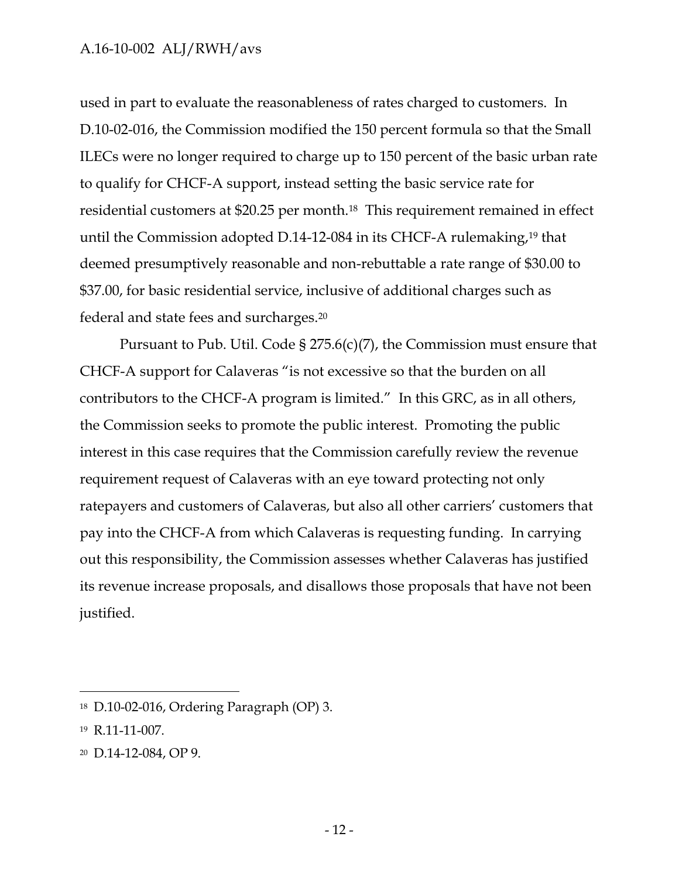used in part to evaluate the reasonableness of rates charged to customers. In D.10-02-016, the Commission modified the 150 percent formula so that the Small ILECs were no longer required to charge up to 150 percent of the basic urban rate to qualify for CHCF-A support, instead setting the basic service rate for residential customers at \$20.25 per month.18 This requirement remained in effect until the Commission adopted D.14-12-084 in its CHCF-A rulemaking,<sup>19</sup> that deemed presumptively reasonable and non-rebuttable a rate range of \$30.00 to \$37.00, for basic residential service, inclusive of additional charges such as federal and state fees and surcharges.<sup>20</sup>

Pursuant to Pub. Util. Code § 275.6(c)(7), the Commission must ensure that CHCF-A support for Calaveras "is not excessive so that the burden on all contributors to the CHCF-A program is limited." In this GRC, as in all others, the Commission seeks to promote the public interest. Promoting the public interest in this case requires that the Commission carefully review the revenue requirement request of Calaveras with an eye toward protecting not only ratepayers and customers of Calaveras, but also all other carriers' customers that pay into the CHCF-A from which Calaveras is requesting funding. In carrying out this responsibility, the Commission assesses whether Calaveras has justified its revenue increase proposals, and disallows those proposals that have not been justified.

<sup>18</sup> D.10-02-016, Ordering Paragraph (OP) 3.

<sup>19</sup> R.11-11-007.

<sup>20</sup> D.14-12-084, OP 9.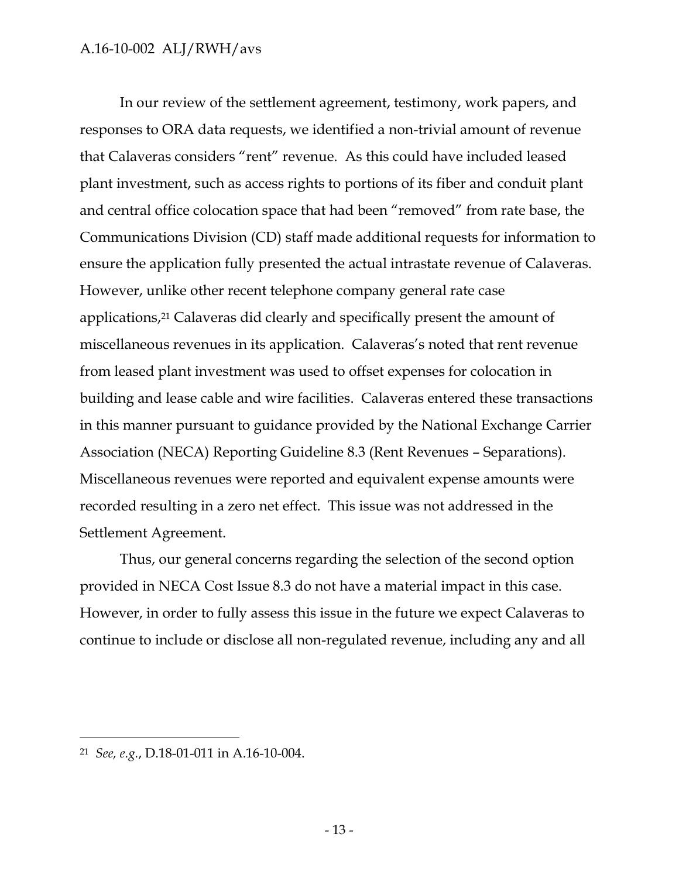In our review of the settlement agreement, testimony, work papers, and responses to ORA data requests, we identified a non-trivial amount of revenue that Calaveras considers "rent" revenue. As this could have included leased plant investment, such as access rights to portions of its fiber and conduit plant and central office colocation space that had been "removed" from rate base, the Communications Division (CD) staff made additional requests for information to ensure the application fully presented the actual intrastate revenue of Calaveras. However, unlike other recent telephone company general rate case applications,<sup>21</sup> Calaveras did clearly and specifically present the amount of miscellaneous revenues in its application. Calaveras's noted that rent revenue from leased plant investment was used to offset expenses for colocation in building and lease cable and wire facilities. Calaveras entered these transactions in this manner pursuant to guidance provided by the National Exchange Carrier Association (NECA) Reporting Guideline 8.3 (Rent Revenues – Separations). Miscellaneous revenues were reported and equivalent expense amounts were recorded resulting in a zero net effect. This issue was not addressed in the Settlement Agreement.

Thus, our general concerns regarding the selection of the second option provided in NECA Cost Issue 8.3 do not have a material impact in this case. However, in order to fully assess this issue in the future we expect Calaveras to continue to include or disclose all non-regulated revenue, including any and all

<sup>21</sup> *See, e.g.*, D.18-01-011 in A.16-10-004.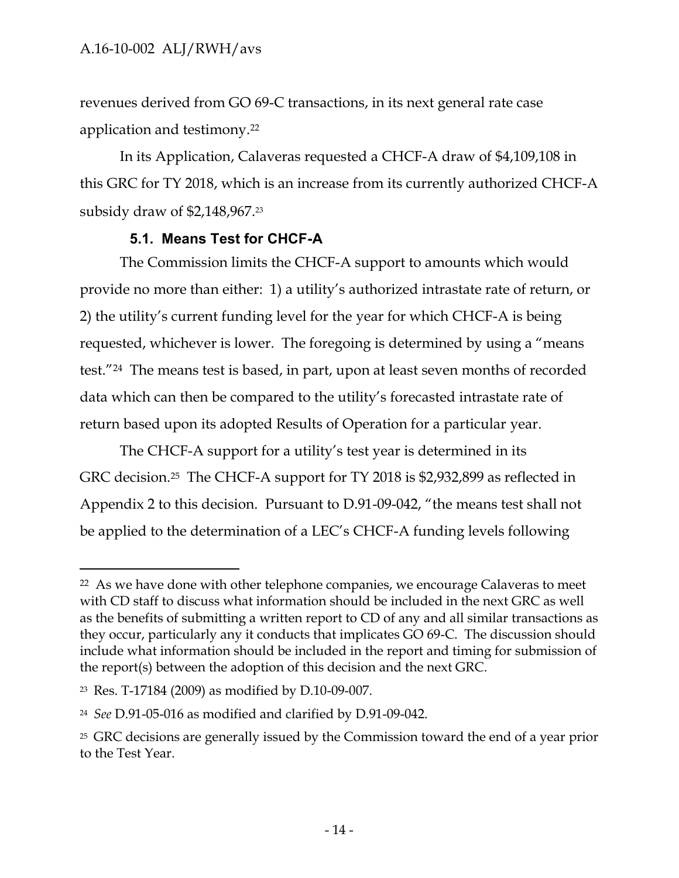revenues derived from GO 69-C transactions, in its next general rate case application and testimony.<sup>22</sup>

In its Application, Calaveras requested a CHCF-A draw of \$4,109,108 in this GRC for TY 2018, which is an increase from its currently authorized CHCF-A subsidy draw of \$2,148,967. 23

### **5.1. Means Test for CHCF-A**

<span id="page-15-0"></span>The Commission limits the CHCF-A support to amounts which would provide no more than either: 1) a utility's authorized intrastate rate of return, or 2) the utility's current funding level for the year for which CHCF-A is being requested, whichever is lower. The foregoing is determined by using a "means test."24 The means test is based, in part, upon at least seven months of recorded data which can then be compared to the utility's forecasted intrastate rate of return based upon its adopted Results of Operation for a particular year.

The CHCF-A support for a utility's test year is determined in its GRC decision.25 The CHCF-A support for TY 2018 is \$2,932,899 as reflected in Appendix 2 to this decision. Pursuant to D.91-09-042, "the means test shall not be applied to the determination of a LEC's CHCF-A funding levels following

<sup>&</sup>lt;sup>22</sup> As we have done with other telephone companies, we encourage Calaveras to meet with CD staff to discuss what information should be included in the next GRC as well as the benefits of submitting a written report to CD of any and all similar transactions as they occur, particularly any it conducts that implicates GO 69-C. The discussion should include what information should be included in the report and timing for submission of the report(s) between the adoption of this decision and the next GRC.

<sup>23</sup> Res. T-17184 (2009) as modified by D.10-09-007.

<sup>24</sup> *See* D.91-05-016 as modified and clarified by D.91-09-042.

<sup>25</sup> GRC decisions are generally issued by the Commission toward the end of a year prior to the Test Year.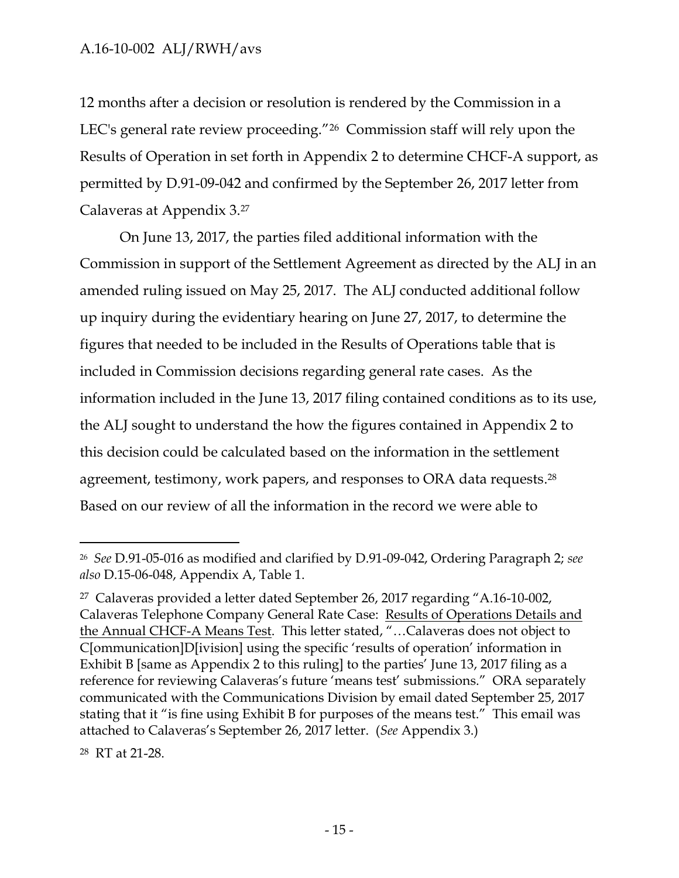12 months after a decision or resolution is rendered by the Commission in a LEC's general rate review proceeding."26 Commission staff will rely upon the Results of Operation in set forth in Appendix 2 to determine CHCF-A support, as permitted by D.91-09-042 and confirmed by the September 26, 2017 letter from Calaveras at Appendix 3.<sup>27</sup>

On June 13, 2017, the parties filed additional information with the Commission in support of the Settlement Agreement as directed by the ALJ in an amended ruling issued on May 25, 2017. The ALJ conducted additional follow up inquiry during the evidentiary hearing on June 27, 2017, to determine the figures that needed to be included in the Results of Operations table that is included in Commission decisions regarding general rate cases. As the information included in the June 13, 2017 filing contained conditions as to its use, the ALJ sought to understand the how the figures contained in Appendix 2 to this decision could be calculated based on the information in the settlement agreement, testimony, work papers, and responses to ORA data requests. 28 Based on our review of all the information in the record we were able to

28 RT at 21-28.

<sup>26</sup> *See* D.91-05-016 as modified and clarified by D.91-09-042, Ordering Paragraph 2; *see also* D.15-06-048, Appendix A, Table 1.

<sup>27</sup> Calaveras provided a letter dated September 26, 2017 regarding "A.16-10-002, Calaveras Telephone Company General Rate Case: Results of Operations Details and the Annual CHCF-A Means Test. This letter stated, "…Calaveras does not object to C[ommunication]D[ivision] using the specific 'results of operation' information in Exhibit B [same as Appendix 2 to this ruling] to the parties' June 13, 2017 filing as a reference for reviewing Calaveras's future 'means test' submissions." ORA separately communicated with the Communications Division by email dated September 25, 2017 stating that it "is fine using Exhibit B for purposes of the means test." This email was attached to Calaveras's September 26, 2017 letter. (*See* Appendix 3.)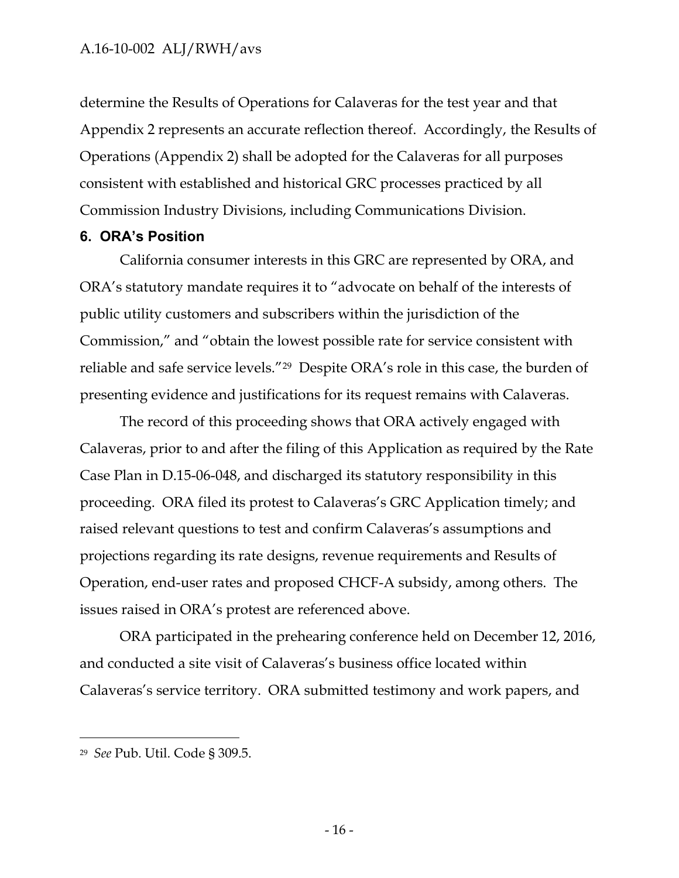determine the Results of Operations for Calaveras for the test year and that Appendix 2 represents an accurate reflection thereof. Accordingly, the Results of Operations (Appendix 2) shall be adopted for the Calaveras for all purposes consistent with established and historical GRC processes practiced by all Commission Industry Divisions, including Communications Division.

### <span id="page-17-0"></span>**6. ORA's Position**

California consumer interests in this GRC are represented by ORA, and ORA's statutory mandate requires it to "advocate on behalf of the interests of public utility customers and subscribers within the jurisdiction of the Commission," and "obtain the lowest possible rate for service consistent with reliable and safe service levels."<sup>29</sup> Despite ORA's role in this case, the burden of presenting evidence and justifications for its request remains with Calaveras.

The record of this proceeding shows that ORA actively engaged with Calaveras, prior to and after the filing of this Application as required by the Rate Case Plan in D.15-06-048, and discharged its statutory responsibility in this proceeding. ORA filed its protest to Calaveras's GRC Application timely; and raised relevant questions to test and confirm Calaveras's assumptions and projections regarding its rate designs, revenue requirements and Results of Operation, end-user rates and proposed CHCF-A subsidy, among others. The issues raised in ORA's protest are referenced above.

ORA participated in the prehearing conference held on December 12, 2016, and conducted a site visit of Calaveras's business office located within Calaveras's service territory. ORA submitted testimony and work papers, and

<sup>29</sup> *See* Pub. Util. Code § 309.5.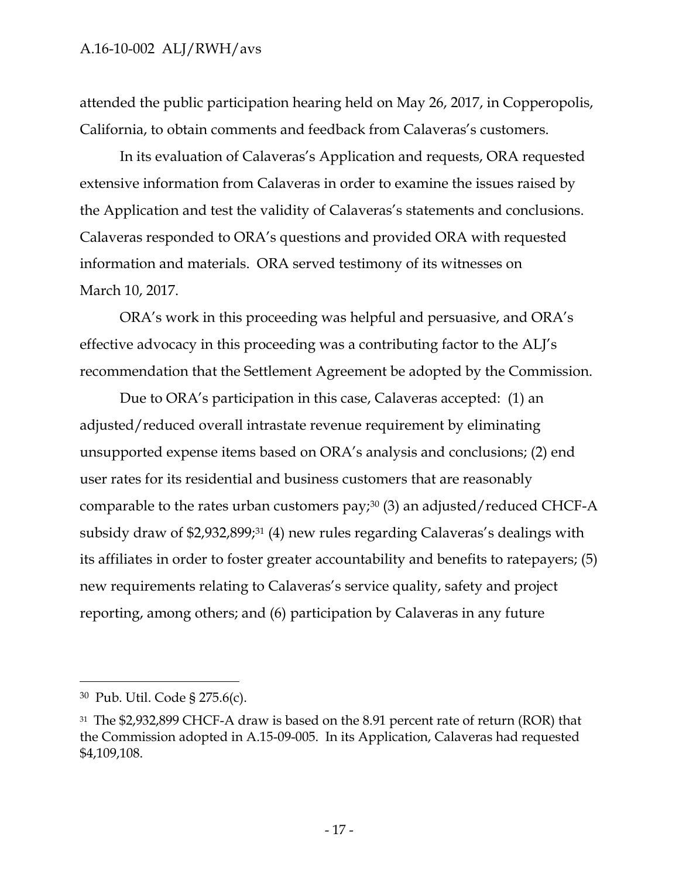attended the public participation hearing held on May 26, 2017, in Copperopolis, California, to obtain comments and feedback from Calaveras's customers.

In its evaluation of Calaveras's Application and requests, ORA requested extensive information from Calaveras in order to examine the issues raised by the Application and test the validity of Calaveras's statements and conclusions. Calaveras responded to ORA's questions and provided ORA with requested information and materials. ORA served testimony of its witnesses on March 10, 2017.

ORA's work in this proceeding was helpful and persuasive, and ORA's effective advocacy in this proceeding was a contributing factor to the ALJ's recommendation that the Settlement Agreement be adopted by the Commission.

Due to ORA's participation in this case, Calaveras accepted: (1) an adjusted/reduced overall intrastate revenue requirement by eliminating unsupported expense items based on ORA's analysis and conclusions; (2) end user rates for its residential and business customers that are reasonably comparable to the rates urban customers pay;<sup>30</sup> (3) an adjusted/reduced CHCF-A subsidy draw of \$2,932,899;<sup>31</sup> (4) new rules regarding Calaveras's dealings with its affiliates in order to foster greater accountability and benefits to ratepayers; (5) new requirements relating to Calaveras's service quality, safety and project reporting, among others; and (6) participation by Calaveras in any future

<sup>30</sup> Pub. Util. Code § 275.6(c).

<sup>31</sup> The \$2,932,899 CHCF-A draw is based on the 8.91 percent rate of return (ROR) that the Commission adopted in A.15-09-005. In its Application, Calaveras had requested \$4,109,108.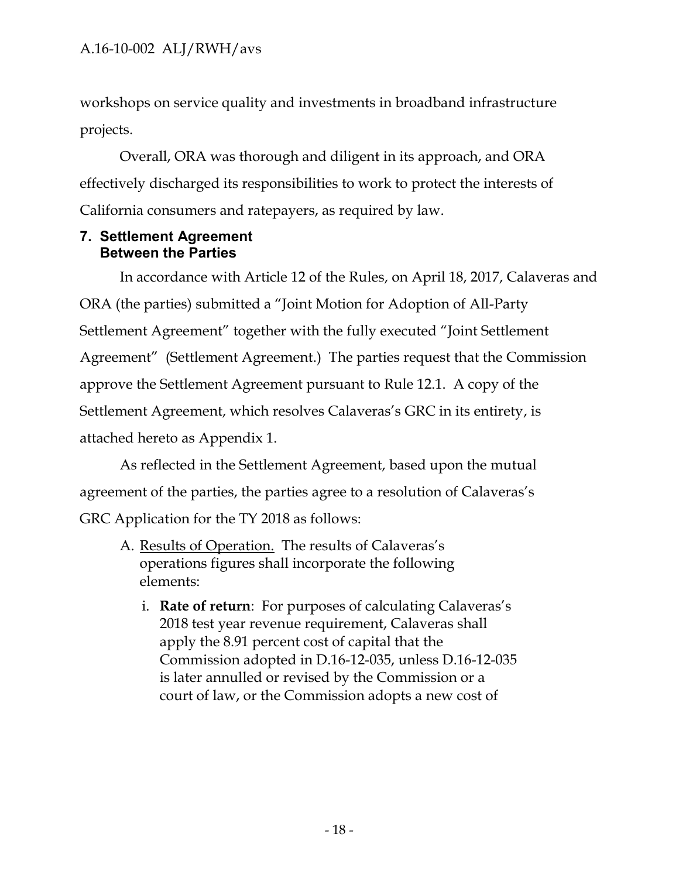workshops on service quality and investments in broadband infrastructure projects.

Overall, ORA was thorough and diligent in its approach, and ORA effectively discharged its responsibilities to work to protect the interests of California consumers and ratepayers, as required by law.

### <span id="page-19-0"></span>**7. Settlement Agreement Between the Parties**

In accordance with Article 12 of the Rules, on April 18, 2017, Calaveras and ORA (the parties) submitted a "Joint Motion for Adoption of All-Party Settlement Agreement" together with the fully executed "Joint Settlement Agreement" (Settlement Agreement.) The parties request that the Commission approve the Settlement Agreement pursuant to Rule 12.1. A copy of the Settlement Agreement, which resolves Calaveras's GRC in its entirety, is attached hereto as Appendix 1.

As reflected in the Settlement Agreement, based upon the mutual agreement of the parties, the parties agree to a resolution of Calaveras's GRC Application for the TY 2018 as follows:

- A. Results of Operation. The results of Calaveras's operations figures shall incorporate the following elements:
	- i. **Rate of return**: For purposes of calculating Calaveras's 2018 test year revenue requirement, Calaveras shall apply the 8.91 percent cost of capital that the Commission adopted in D.16-12-035, unless D.16-12-035 is later annulled or revised by the Commission or a court of law, or the Commission adopts a new cost of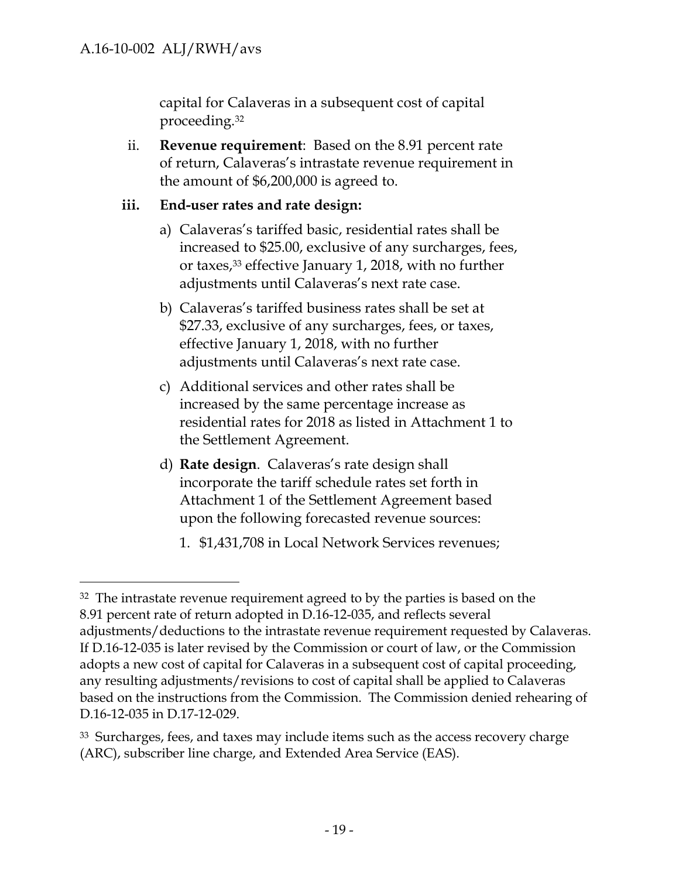$\overline{a}$ 

capital for Calaveras in a subsequent cost of capital proceeding.<sup>32</sup>

ii. **Revenue requirement**: Based on the 8.91 percent rate of return, Calaveras's intrastate revenue requirement in the amount of \$6,200,000 is agreed to.

### **iii. End-user rates and rate design:**

- a) Calaveras's tariffed basic, residential rates shall be increased to \$25.00, exclusive of any surcharges, fees, or taxes,<sup>33</sup> effective January 1, 2018, with no further adjustments until Calaveras's next rate case.
- b) Calaveras's tariffed business rates shall be set at \$27.33, exclusive of any surcharges, fees, or taxes, effective January 1, 2018, with no further adjustments until Calaveras's next rate case.
- c) Additional services and other rates shall be increased by the same percentage increase as residential rates for 2018 as listed in Attachment 1 to the Settlement Agreement.
- d) **Rate design**. Calaveras's rate design shall incorporate the tariff schedule rates set forth in Attachment 1 of the Settlement Agreement based upon the following forecasted revenue sources:
	- 1. \$1,431,708 in Local Network Services revenues;

<sup>&</sup>lt;sup>32</sup> The intrastate revenue requirement agreed to by the parties is based on the 8.91 percent rate of return adopted in D.16-12-035, and reflects several adjustments/deductions to the intrastate revenue requirement requested by Calaveras. If D.16-12-035 is later revised by the Commission or court of law, or the Commission adopts a new cost of capital for Calaveras in a subsequent cost of capital proceeding, any resulting adjustments/revisions to cost of capital shall be applied to Calaveras based on the instructions from the Commission. The Commission denied rehearing of D.16-12-035 in D.17-12-029.

<sup>&</sup>lt;sup>33</sup> Surcharges, fees, and taxes may include items such as the access recovery charge (ARC), subscriber line charge, and Extended Area Service (EAS).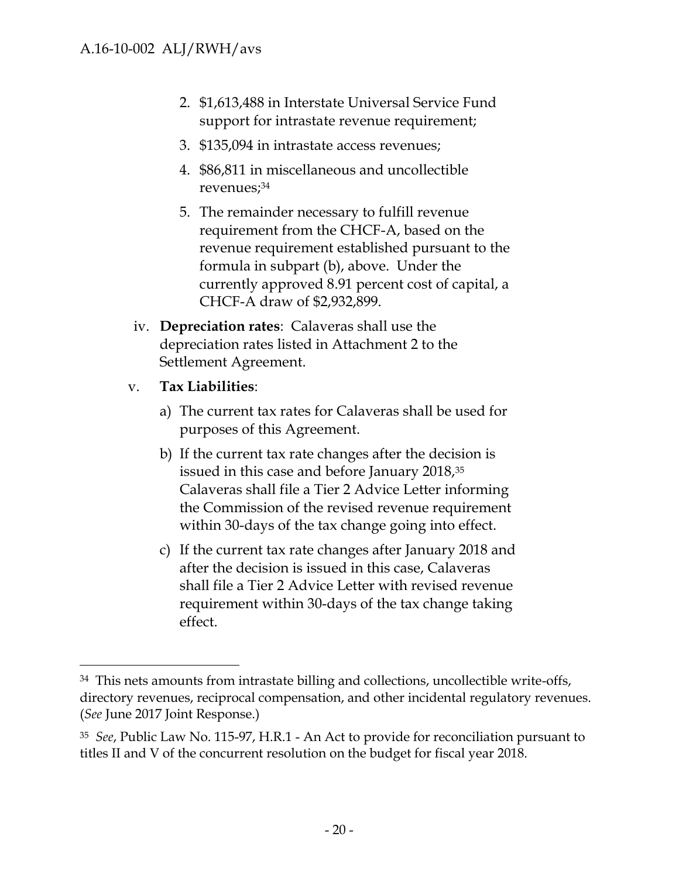- 2. \$1,613,488 in Interstate Universal Service Fund support for intrastate revenue requirement;
- 3. \$135,094 in intrastate access revenues;
- 4. \$86,811 in miscellaneous and uncollectible revenues;<sup>34</sup>
- 5. The remainder necessary to fulfill revenue requirement from the CHCF-A, based on the revenue requirement established pursuant to the formula in subpart (b), above. Under the currently approved 8.91 percent cost of capital, a CHCF-A draw of \$2,932,899.
- iv. **Depreciation rates**: Calaveras shall use the depreciation rates listed in Attachment 2 to the Settlement Agreement.

# v. **Tax Liabilities**:

- a) The current tax rates for Calaveras shall be used for purposes of this Agreement.
- b) If the current tax rate changes after the decision is issued in this case and before January 2018,<sup>35</sup> Calaveras shall file a Tier 2 Advice Letter informing the Commission of the revised revenue requirement within 30-days of the tax change going into effect.
- c) If the current tax rate changes after January 2018 and after the decision is issued in this case, Calaveras shall file a Tier 2 Advice Letter with revised revenue requirement within 30-days of the tax change taking effect.

 $34$  This nets amounts from intrastate billing and collections, uncollectible write-offs, directory revenues, reciprocal compensation, and other incidental regulatory revenues. (*See* June 2017 Joint Response.)

<sup>35</sup> *See*, Public Law No. 115-97, H.R.1 - An Act to provide for reconciliation pursuant to titles II and V of the concurrent resolution on the budget for fiscal year 2018.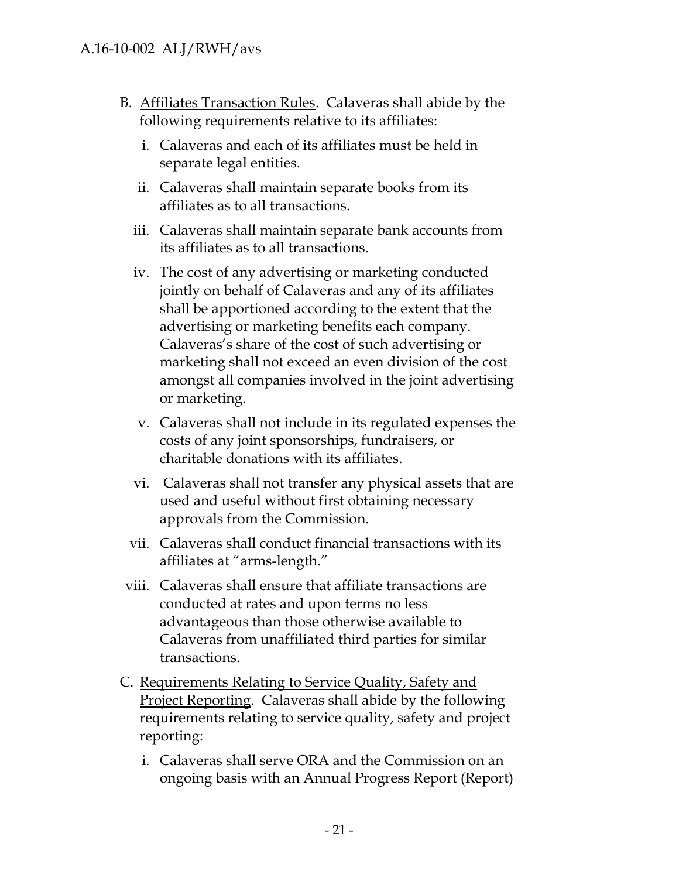- B. Affiliates Transaction Rules. Calaveras shall abide by the following requirements relative to its affiliates:
	- i. Calaveras and each of its affiliates must be held in separate legal entities.
	- ii. Calaveras shall maintain separate books from its affiliates as to all transactions.
	- iii. Calaveras shall maintain separate bank accounts from its affiliates as to all transactions.
	- iv. The cost of any advertising or marketing conducted jointly on behalf of Calaveras and any of its affiliates shall be apportioned according to the extent that the advertising or marketing benefits each company. Calaveras's share of the cost of such advertising or marketing shall not exceed an even division of the cost amongst all companies involved in the joint advertising or marketing.
	- v. Calaveras shall not include in its regulated expenses the costs of any joint sponsorships, fundraisers, or charitable donations with its affiliates.
	- vi. Calaveras shall not transfer any physical assets that are used and useful without first obtaining necessary approvals from the Commission.
	- vii. Calaveras shall conduct financial transactions with its affiliates at "arms-length."
- viii. Calaveras shall ensure that affiliate transactions are conducted at rates and upon terms no less advantageous than those otherwise available to Calaveras from unaffiliated third parties for similar transactions.
- C. Requirements Relating to Service Quality, Safety and Project Reporting. Calaveras shall abide by the following requirements relating to service quality, safety and project reporting:
	- i. Calaveras shall serve ORA and the Commission on an ongoing basis with an Annual Progress Report (Report)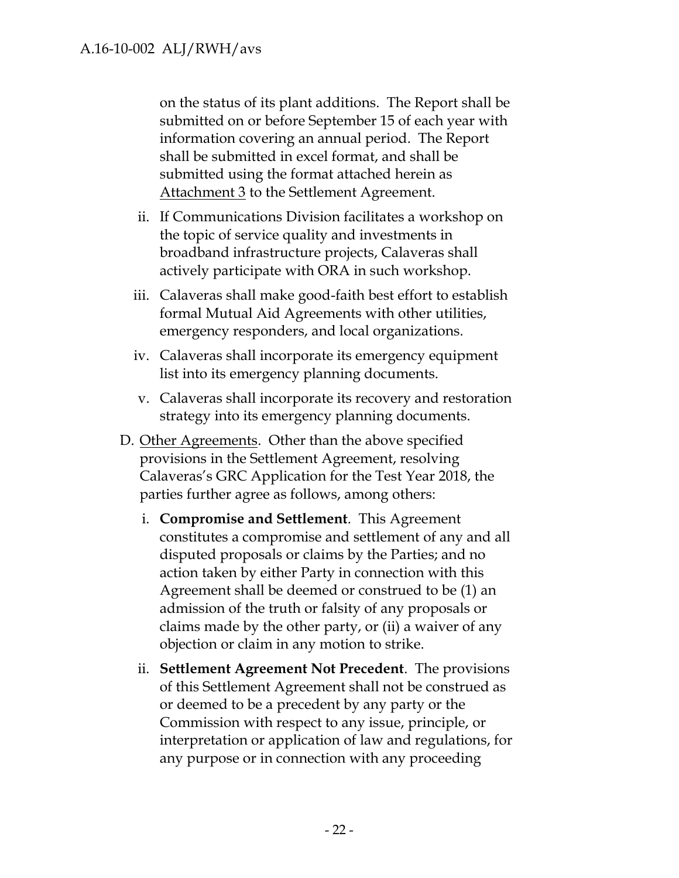on the status of its plant additions. The Report shall be submitted on or before September 15 of each year with information covering an annual period. The Report shall be submitted in excel format, and shall be submitted using the format attached herein as Attachment 3 to the Settlement Agreement.

- ii. If Communications Division facilitates a workshop on the topic of service quality and investments in broadband infrastructure projects, Calaveras shall actively participate with ORA in such workshop.
- iii. Calaveras shall make good-faith best effort to establish formal Mutual Aid Agreements with other utilities, emergency responders, and local organizations.
- iv. Calaveras shall incorporate its emergency equipment list into its emergency planning documents.
- v. Calaveras shall incorporate its recovery and restoration strategy into its emergency planning documents.
- D. Other Agreements. Other than the above specified provisions in the Settlement Agreement, resolving Calaveras's GRC Application for the Test Year 2018, the parties further agree as follows, among others:
	- i. **Compromise and Settlement**. This Agreement constitutes a compromise and settlement of any and all disputed proposals or claims by the Parties; and no action taken by either Party in connection with this Agreement shall be deemed or construed to be (1) an admission of the truth or falsity of any proposals or claims made by the other party, or (ii) a waiver of any objection or claim in any motion to strike.
	- ii. **Settlement Agreement Not Precedent**. The provisions of this Settlement Agreement shall not be construed as or deemed to be a precedent by any party or the Commission with respect to any issue, principle, or interpretation or application of law and regulations, for any purpose or in connection with any proceeding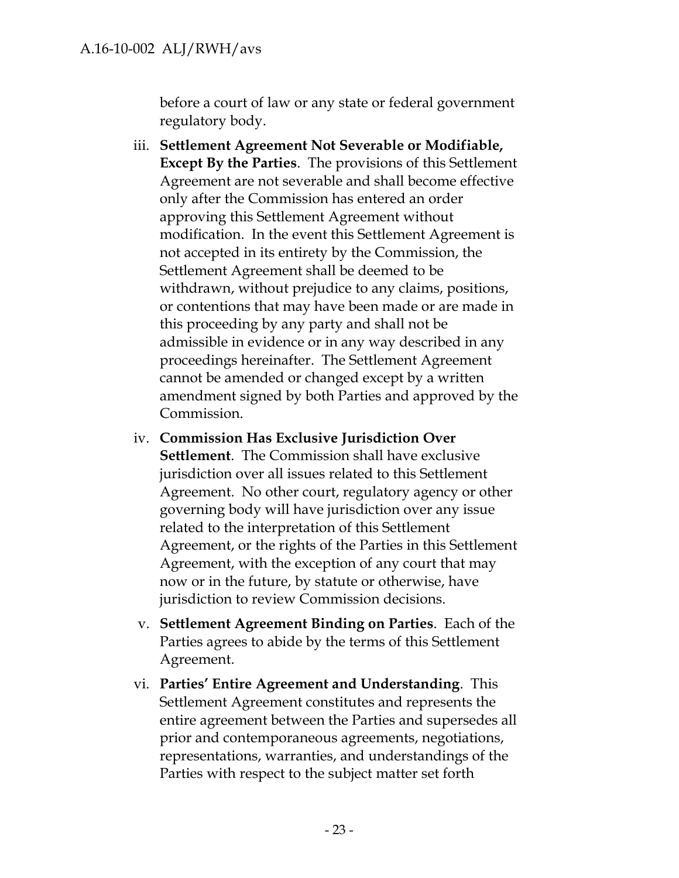before a court of law or any state or federal government regulatory body.

- iii. **Settlement Agreement Not Severable or Modifiable, Except By the Parties**. The provisions of this Settlement Agreement are not severable and shall become effective only after the Commission has entered an order approving this Settlement Agreement without modification. In the event this Settlement Agreement is not accepted in its entirety by the Commission, the Settlement Agreement shall be deemed to be withdrawn, without prejudice to any claims, positions, or contentions that may have been made or are made in this proceeding by any party and shall not be admissible in evidence or in any way described in any proceedings hereinafter. The Settlement Agreement cannot be amended or changed except by a written amendment signed by both Parties and approved by the Commission.
- iv. **Commission Has Exclusive Jurisdiction Over Settlement**. The Commission shall have exclusive jurisdiction over all issues related to this Settlement Agreement. No other court, regulatory agency or other governing body will have jurisdiction over any issue related to the interpretation of this Settlement Agreement, or the rights of the Parties in this Settlement Agreement, with the exception of any court that may now or in the future, by statute or otherwise, have jurisdiction to review Commission decisions.
- v. **Settlement Agreement Binding on Parties**. Each of the Parties agrees to abide by the terms of this Settlement Agreement.
- vi. **Parties' Entire Agreement and Understanding**. This Settlement Agreement constitutes and represents the entire agreement between the Parties and supersedes all prior and contemporaneous agreements, negotiations, representations, warranties, and understandings of the Parties with respect to the subject matter set forth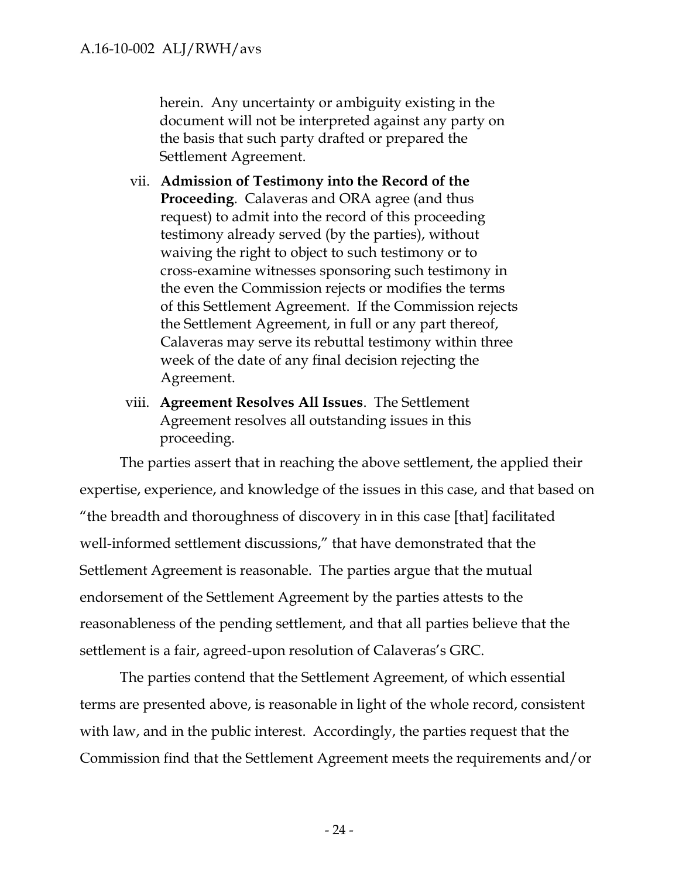herein. Any uncertainty or ambiguity existing in the document will not be interpreted against any party on the basis that such party drafted or prepared the Settlement Agreement.

- vii. **Admission of Testimony into the Record of the Proceeding**. Calaveras and ORA agree (and thus request) to admit into the record of this proceeding testimony already served (by the parties), without waiving the right to object to such testimony or to cross-examine witnesses sponsoring such testimony in the even the Commission rejects or modifies the terms of this Settlement Agreement. If the Commission rejects the Settlement Agreement, in full or any part thereof, Calaveras may serve its rebuttal testimony within three week of the date of any final decision rejecting the Agreement.
- viii. **Agreement Resolves All Issues**. The Settlement Agreement resolves all outstanding issues in this proceeding.

The parties assert that in reaching the above settlement, the applied their expertise, experience, and knowledge of the issues in this case, and that based on "the breadth and thoroughness of discovery in in this case [that] facilitated well-informed settlement discussions," that have demonstrated that the Settlement Agreement is reasonable. The parties argue that the mutual endorsement of the Settlement Agreement by the parties attests to the reasonableness of the pending settlement, and that all parties believe that the settlement is a fair, agreed-upon resolution of Calaveras's GRC.

The parties contend that the Settlement Agreement, of which essential terms are presented above, is reasonable in light of the whole record, consistent with law, and in the public interest. Accordingly, the parties request that the Commission find that the Settlement Agreement meets the requirements and/or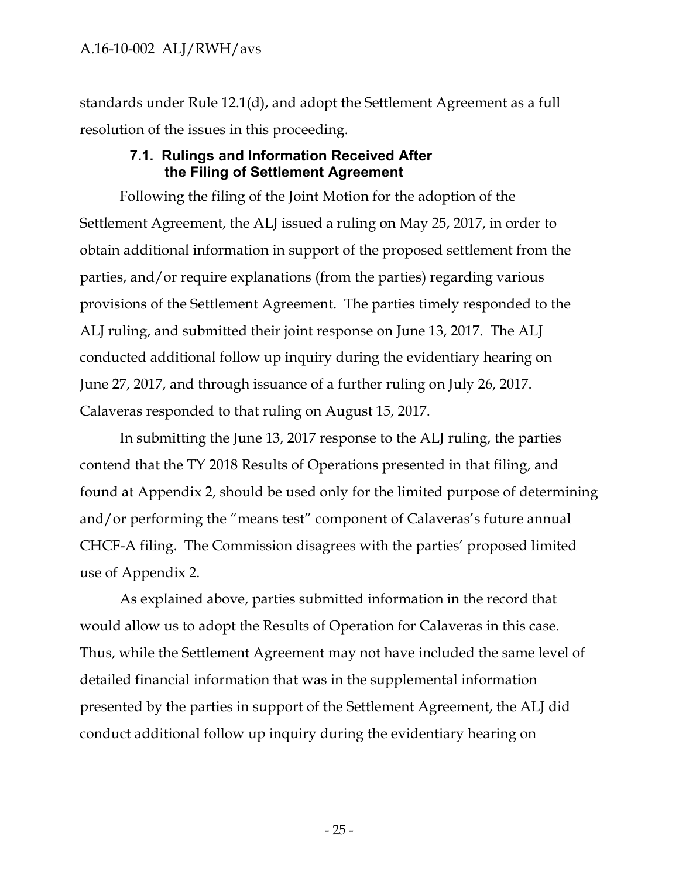standards under Rule 12.1(d), and adopt the Settlement Agreement as a full resolution of the issues in this proceeding.

#### **7.1. Rulings and Information Received After the Filing of Settlement Agreement**

<span id="page-26-0"></span>Following the filing of the Joint Motion for the adoption of the Settlement Agreement, the ALJ issued a ruling on May 25, 2017, in order to obtain additional information in support of the proposed settlement from the parties, and/or require explanations (from the parties) regarding various provisions of the Settlement Agreement. The parties timely responded to the ALJ ruling, and submitted their joint response on June 13, 2017. The ALJ conducted additional follow up inquiry during the evidentiary hearing on June 27, 2017, and through issuance of a further ruling on July 26, 2017. Calaveras responded to that ruling on August 15, 2017.

In submitting the June 13, 2017 response to the ALJ ruling, the parties contend that the TY 2018 Results of Operations presented in that filing, and found at Appendix 2, should be used only for the limited purpose of determining and/or performing the "means test" component of Calaveras's future annual CHCF-A filing. The Commission disagrees with the parties' proposed limited use of Appendix 2.

As explained above, parties submitted information in the record that would allow us to adopt the Results of Operation for Calaveras in this case. Thus, while the Settlement Agreement may not have included the same level of detailed financial information that was in the supplemental information presented by the parties in support of the Settlement Agreement, the ALJ did conduct additional follow up inquiry during the evidentiary hearing on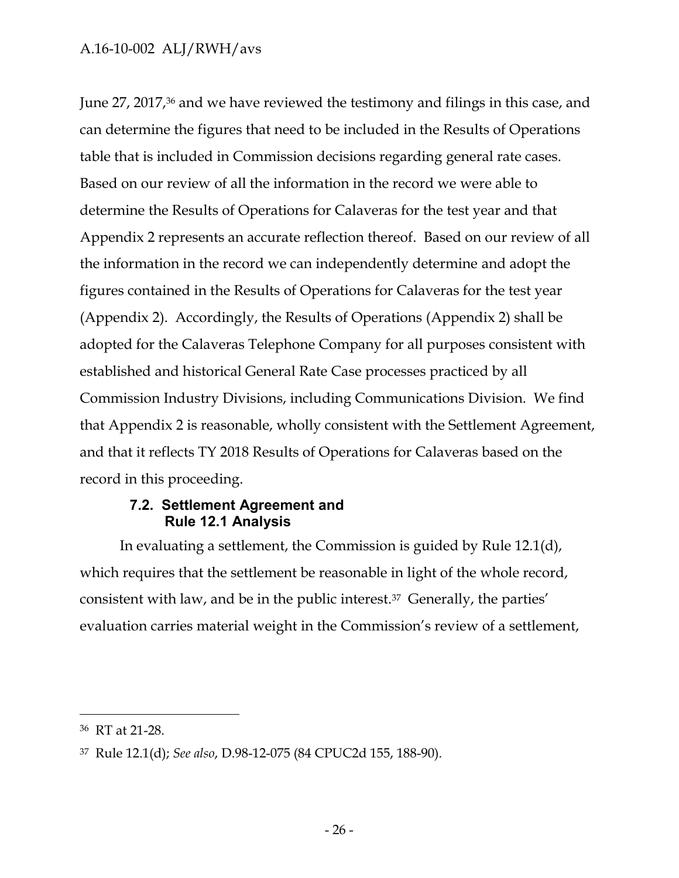June 27, 2017,<sup>36</sup> and we have reviewed the testimony and filings in this case, and can determine the figures that need to be included in the Results of Operations table that is included in Commission decisions regarding general rate cases. Based on our review of all the information in the record we were able to determine the Results of Operations for Calaveras for the test year and that Appendix 2 represents an accurate reflection thereof. Based on our review of all the information in the record we can independently determine and adopt the figures contained in the Results of Operations for Calaveras for the test year (Appendix 2). Accordingly, the Results of Operations (Appendix 2) shall be adopted for the Calaveras Telephone Company for all purposes consistent with established and historical General Rate Case processes practiced by all Commission Industry Divisions, including Communications Division. We find that Appendix 2 is reasonable, wholly consistent with the Settlement Agreement, and that it reflects TY 2018 Results of Operations for Calaveras based on the record in this proceeding.

### **7.2. Settlement Agreement and Rule 12.1 Analysis**

<span id="page-27-0"></span>In evaluating a settlement, the Commission is guided by Rule 12.1(d), which requires that the settlement be reasonable in light of the whole record, consistent with law, and be in the public interest.<sup>37</sup> Generally, the parties' evaluation carries material weight in the Commission's review of a settlement,

<sup>36</sup> RT at 21-28.

<sup>37</sup> Rule 12.1(d); *See also*, D.98-12-075 (84 CPUC2d 155, 188-90).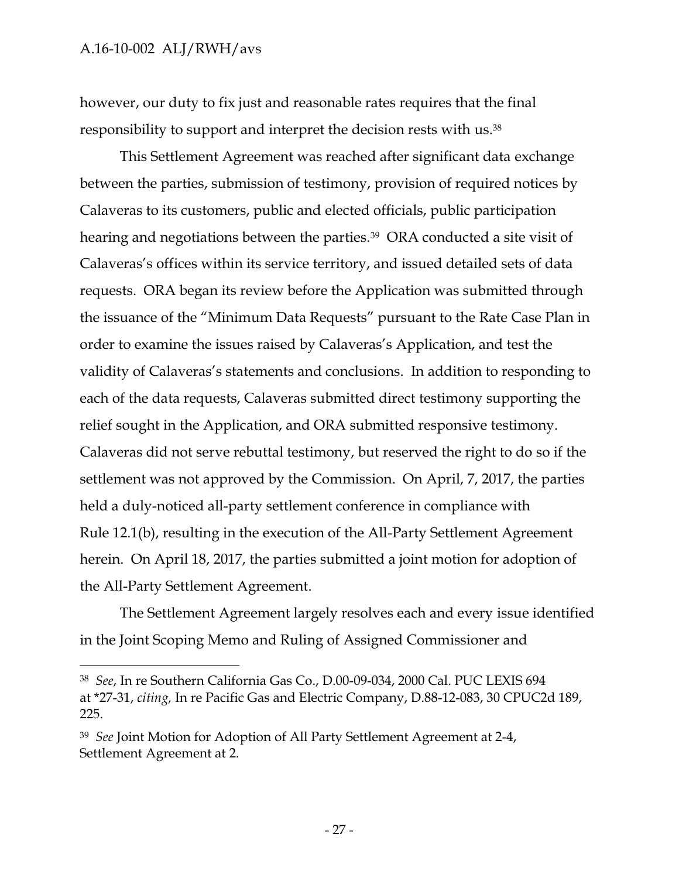$\overline{a}$ 

however, our duty to fix just and reasonable rates requires that the final responsibility to support and interpret the decision rests with us.<sup>38</sup>

This Settlement Agreement was reached after significant data exchange between the parties, submission of testimony, provision of required notices by Calaveras to its customers, public and elected officials, public participation hearing and negotiations between the parties.<sup>39</sup> ORA conducted a site visit of Calaveras's offices within its service territory, and issued detailed sets of data requests. ORA began its review before the Application was submitted through the issuance of the "Minimum Data Requests" pursuant to the Rate Case Plan in order to examine the issues raised by Calaveras's Application, and test the validity of Calaveras's statements and conclusions. In addition to responding to each of the data requests, Calaveras submitted direct testimony supporting the relief sought in the Application, and ORA submitted responsive testimony. Calaveras did not serve rebuttal testimony, but reserved the right to do so if the settlement was not approved by the Commission. On April, 7, 2017, the parties held a duly-noticed all-party settlement conference in compliance with Rule 12.1(b), resulting in the execution of the All-Party Settlement Agreement herein. On April 18, 2017, the parties submitted a joint motion for adoption of the All-Party Settlement Agreement.

The Settlement Agreement largely resolves each and every issue identified in the Joint Scoping Memo and Ruling of Assigned Commissioner and

<sup>38</sup> *See*, In re Southern California Gas Co., D.00-09-034, 2000 Cal. PUC LEXIS 694 at \*27-31, *citing,* In re Pacific Gas and Electric Company, D.88-12-083, 30 CPUC2d 189, 225.

<sup>39</sup> *See* Joint Motion for Adoption of All Party Settlement Agreement at 2-4, Settlement Agreement at 2.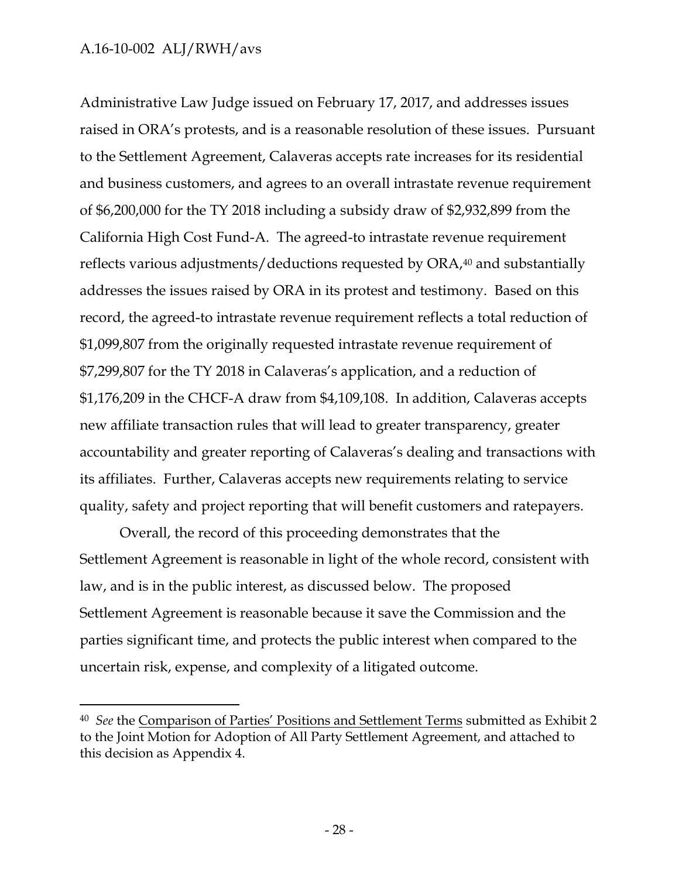$\overline{a}$ 

Administrative Law Judge issued on February 17, 2017, and addresses issues raised in ORA's protests, and is a reasonable resolution of these issues. Pursuant to the Settlement Agreement, Calaveras accepts rate increases for its residential and business customers, and agrees to an overall intrastate revenue requirement of \$6,200,000 for the TY 2018 including a subsidy draw of \$2,932,899 from the California High Cost Fund-A. The agreed-to intrastate revenue requirement reflects various adjustments/deductions requested by ORA,<sup>40</sup> and substantially addresses the issues raised by ORA in its protest and testimony. Based on this record, the agreed-to intrastate revenue requirement reflects a total reduction of \$1,099,807 from the originally requested intrastate revenue requirement of \$7,299,807 for the TY 2018 in Calaveras's application, and a reduction of \$1,176,209 in the CHCF-A draw from \$4,109,108. In addition, Calaveras accepts new affiliate transaction rules that will lead to greater transparency, greater accountability and greater reporting of Calaveras's dealing and transactions with its affiliates. Further, Calaveras accepts new requirements relating to service quality, safety and project reporting that will benefit customers and ratepayers.

Overall, the record of this proceeding demonstrates that the Settlement Agreement is reasonable in light of the whole record, consistent with law, and is in the public interest, as discussed below. The proposed Settlement Agreement is reasonable because it save the Commission and the parties significant time, and protects the public interest when compared to the uncertain risk, expense, and complexity of a litigated outcome.

<sup>40</sup> *See* the Comparison of Parties' Positions and Settlement Terms submitted as Exhibit 2 to the Joint Motion for Adoption of All Party Settlement Agreement, and attached to this decision as Appendix 4.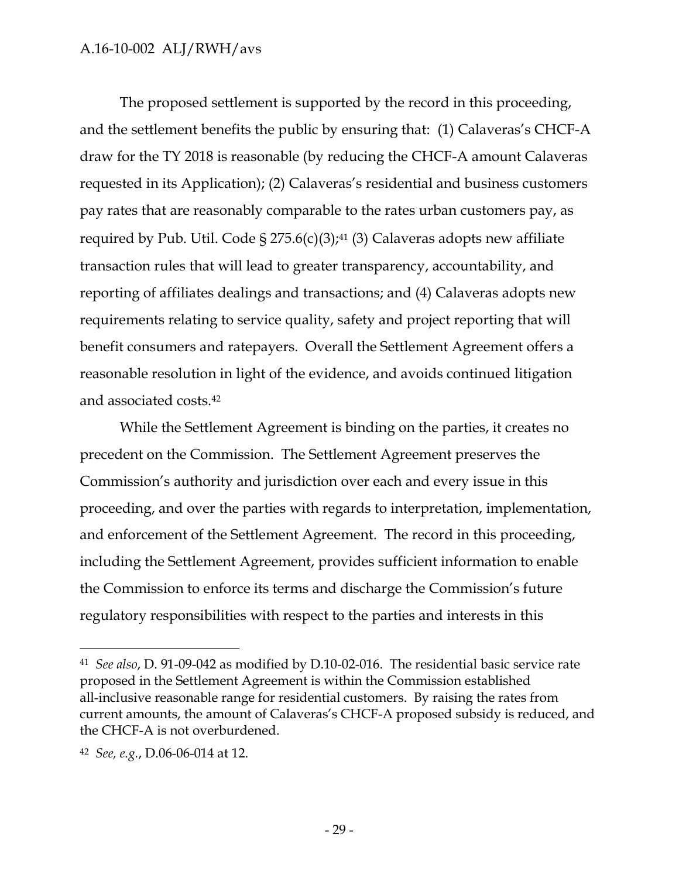The proposed settlement is supported by the record in this proceeding, and the settlement benefits the public by ensuring that: (1) Calaveras's CHCF-A draw for the TY 2018 is reasonable (by reducing the CHCF-A amount Calaveras requested in its Application); (2) Calaveras's residential and business customers pay rates that are reasonably comparable to the rates urban customers pay, as required by Pub. Util. Code § 275.6(c)(3);<sup>41</sup> (3) Calaveras adopts new affiliate transaction rules that will lead to greater transparency, accountability, and reporting of affiliates dealings and transactions; and (4) Calaveras adopts new requirements relating to service quality, safety and project reporting that will benefit consumers and ratepayers. Overall the Settlement Agreement offers a reasonable resolution in light of the evidence, and avoids continued litigation and associated costs.<sup>42</sup>

While the Settlement Agreement is binding on the parties, it creates no precedent on the Commission. The Settlement Agreement preserves the Commission's authority and jurisdiction over each and every issue in this proceeding, and over the parties with regards to interpretation, implementation, and enforcement of the Settlement Agreement. The record in this proceeding, including the Settlement Agreement, provides sufficient information to enable the Commission to enforce its terms and discharge the Commission's future regulatory responsibilities with respect to the parties and interests in this

<sup>41</sup> *See also*, D. 91-09-042 as modified by D.10-02-016. The residential basic service rate proposed in the Settlement Agreement is within the Commission established all-inclusive reasonable range for residential customers. By raising the rates from current amounts, the amount of Calaveras's CHCF-A proposed subsidy is reduced, and the CHCF-A is not overburdened.

<sup>42</sup> *See, e.g.*, D.06-06-014 at 12.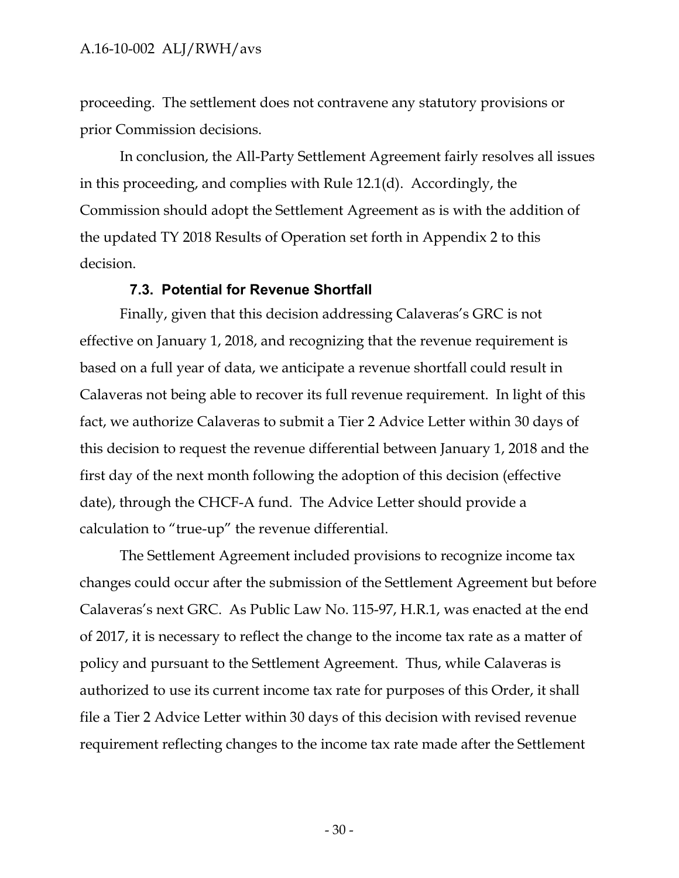proceeding. The settlement does not contravene any statutory provisions or prior Commission decisions.

In conclusion, the All-Party Settlement Agreement fairly resolves all issues in this proceeding, and complies with Rule 12.1(d). Accordingly, the Commission should adopt the Settlement Agreement as is with the addition of the updated TY 2018 Results of Operation set forth in Appendix 2 to this decision.

#### **7.3. Potential for Revenue Shortfall**

<span id="page-31-0"></span>Finally, given that this decision addressing Calaveras's GRC is not effective on January 1, 2018, and recognizing that the revenue requirement is based on a full year of data, we anticipate a revenue shortfall could result in Calaveras not being able to recover its full revenue requirement. In light of this fact, we authorize Calaveras to submit a Tier 2 Advice Letter within 30 days of this decision to request the revenue differential between January 1, 2018 and the first day of the next month following the adoption of this decision (effective date), through the CHCF-A fund. The Advice Letter should provide a calculation to "true-up" the revenue differential.

The Settlement Agreement included provisions to recognize income tax changes could occur after the submission of the Settlement Agreement but before Calaveras's next GRC. As Public Law No. 115-97, H.R.1, was enacted at the end of 2017, it is necessary to reflect the change to the income tax rate as a matter of policy and pursuant to the Settlement Agreement. Thus, while Calaveras is authorized to use its current income tax rate for purposes of this Order, it shall file a Tier 2 Advice Letter within 30 days of this decision with revised revenue requirement reflecting changes to the income tax rate made after the Settlement

- 30 -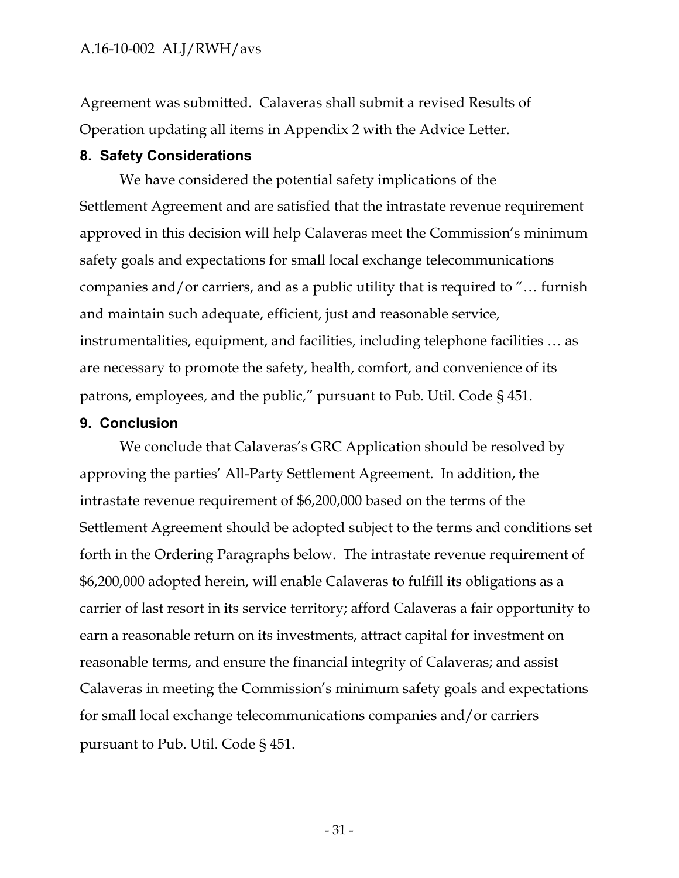Agreement was submitted. Calaveras shall submit a revised Results of Operation updating all items in Appendix 2 with the Advice Letter.

#### <span id="page-32-0"></span>**8. Safety Considerations**

We have considered the potential safety implications of the Settlement Agreement and are satisfied that the intrastate revenue requirement approved in this decision will help Calaveras meet the Commission's minimum safety goals and expectations for small local exchange telecommunications companies and/or carriers, and as a public utility that is required to "… furnish and maintain such adequate, efficient, just and reasonable service, instrumentalities, equipment, and facilities, including telephone facilities … as are necessary to promote the safety, health, comfort, and convenience of its patrons, employees, and the public," pursuant to Pub. Util. Code § 451.

#### <span id="page-32-1"></span>**9. Conclusion**

We conclude that Calaveras's GRC Application should be resolved by approving the parties' All-Party Settlement Agreement. In addition, the intrastate revenue requirement of \$6,200,000 based on the terms of the Settlement Agreement should be adopted subject to the terms and conditions set forth in the Ordering Paragraphs below. The intrastate revenue requirement of \$6,200,000 adopted herein, will enable Calaveras to fulfill its obligations as a carrier of last resort in its service territory; afford Calaveras a fair opportunity to earn a reasonable return on its investments, attract capital for investment on reasonable terms, and ensure the financial integrity of Calaveras; and assist Calaveras in meeting the Commission's minimum safety goals and expectations for small local exchange telecommunications companies and/or carriers pursuant to Pub. Util. Code § 451.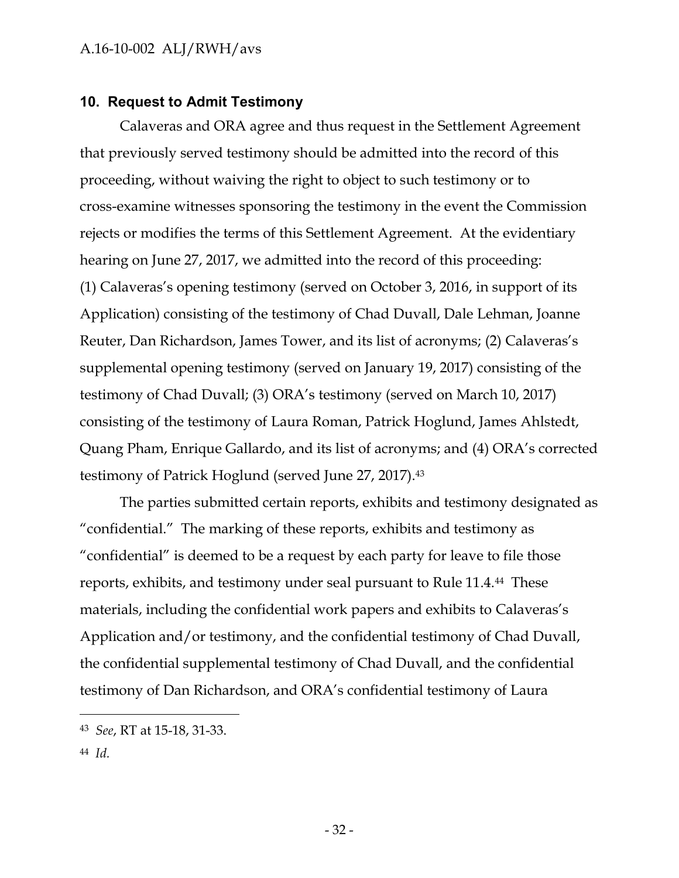#### <span id="page-33-0"></span>**10. Request to Admit Testimony**

Calaveras and ORA agree and thus request in the Settlement Agreement that previously served testimony should be admitted into the record of this proceeding, without waiving the right to object to such testimony or to cross-examine witnesses sponsoring the testimony in the event the Commission rejects or modifies the terms of this Settlement Agreement. At the evidentiary hearing on June 27, 2017, we admitted into the record of this proceeding: (1) Calaveras's opening testimony (served on October 3, 2016, in support of its Application) consisting of the testimony of Chad Duvall, Dale Lehman, Joanne Reuter, Dan Richardson, James Tower, and its list of acronyms; (2) Calaveras's supplemental opening testimony (served on January 19, 2017) consisting of the testimony of Chad Duvall; (3) ORA's testimony (served on March 10, 2017) consisting of the testimony of Laura Roman, Patrick Hoglund, James Ahlstedt, Quang Pham, Enrique Gallardo, and its list of acronyms; and (4) ORA's corrected testimony of Patrick Hoglund (served June 27, 2017).<sup>43</sup>

The parties submitted certain reports, exhibits and testimony designated as "confidential." The marking of these reports, exhibits and testimony as "confidential" is deemed to be a request by each party for leave to file those reports, exhibits, and testimony under seal pursuant to Rule 11.4.44 These materials, including the confidential work papers and exhibits to Calaveras's Application and/or testimony, and the confidential testimony of Chad Duvall, the confidential supplemental testimony of Chad Duvall, and the confidential testimony of Dan Richardson, and ORA's confidential testimony of Laura

44 *Id.*

<sup>43</sup> *See*, RT at 15-18, 31-33.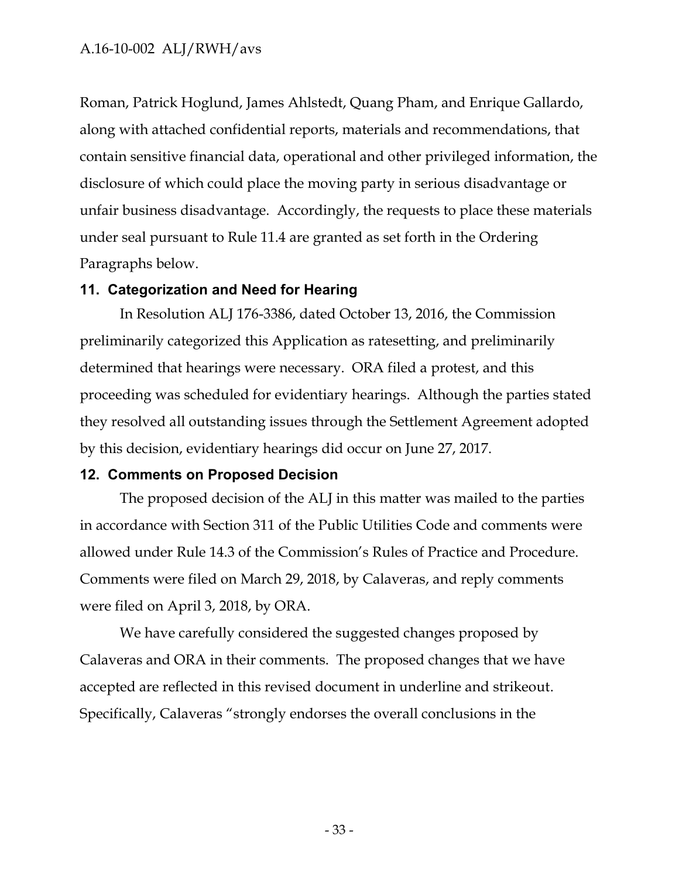Roman, Patrick Hoglund, James Ahlstedt, Quang Pham, and Enrique Gallardo, along with attached confidential reports, materials and recommendations, that contain sensitive financial data, operational and other privileged information, the disclosure of which could place the moving party in serious disadvantage or unfair business disadvantage. Accordingly, the requests to place these materials under seal pursuant to Rule 11.4 are granted as set forth in the Ordering Paragraphs below.

#### <span id="page-34-0"></span>**11. Categorization and Need for Hearing**

In Resolution ALJ 176-3386, dated October 13, 2016, the Commission preliminarily categorized this Application as ratesetting, and preliminarily determined that hearings were necessary. ORA filed a protest, and this proceeding was scheduled for evidentiary hearings. Although the parties stated they resolved all outstanding issues through the Settlement Agreement adopted by this decision, evidentiary hearings did occur on June 27, 2017.

### <span id="page-34-1"></span>**12. Comments on Proposed Decision**

The proposed decision of the ALJ in this matter was mailed to the parties in accordance with Section 311 of the Public Utilities Code and comments were allowed under Rule 14.3 of the Commission's Rules of Practice and Procedure. Comments were filed on March 29, 2018, by Calaveras, and reply comments were filed on April 3, 2018, by ORA.

We have carefully considered the suggested changes proposed by Calaveras and ORA in their comments. The proposed changes that we have accepted are reflected in this revised document in underline and strikeout. Specifically, Calaveras "strongly endorses the overall conclusions in the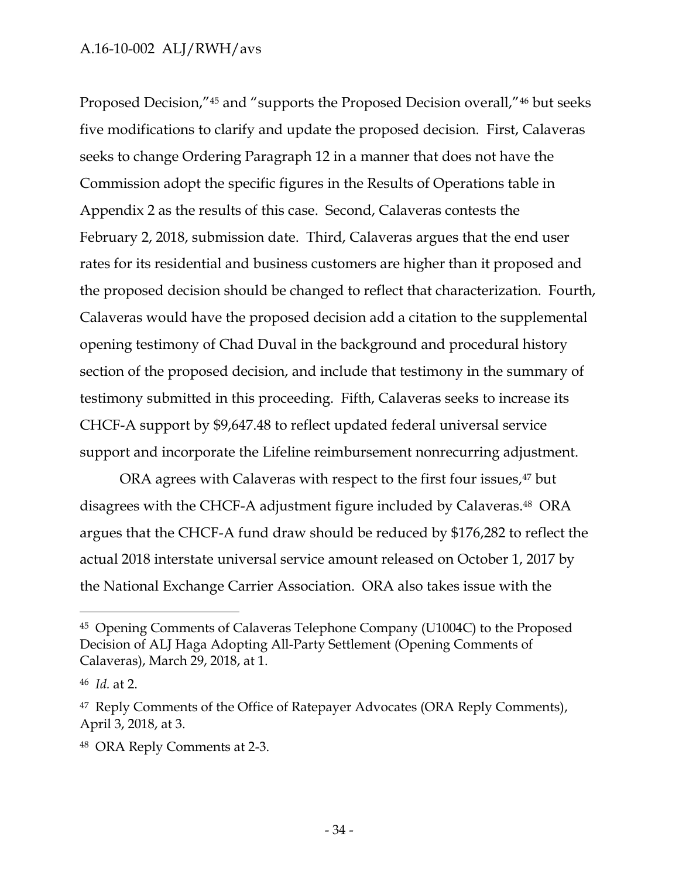Proposed Decision,"<sup>45</sup> and "supports the Proposed Decision overall,"<sup>46</sup> but seeks five modifications to clarify and update the proposed decision. First, Calaveras seeks to change Ordering Paragraph 12 in a manner that does not have the Commission adopt the specific figures in the Results of Operations table in Appendix 2 as the results of this case. Second, Calaveras contests the February 2, 2018, submission date. Third, Calaveras argues that the end user rates for its residential and business customers are higher than it proposed and the proposed decision should be changed to reflect that characterization. Fourth, Calaveras would have the proposed decision add a citation to the supplemental opening testimony of Chad Duval in the background and procedural history section of the proposed decision, and include that testimony in the summary of testimony submitted in this proceeding. Fifth, Calaveras seeks to increase its CHCF-A support by \$9,647.48 to reflect updated federal universal service support and incorporate the Lifeline reimbursement nonrecurring adjustment.

ORA agrees with Calaveras with respect to the first four issues,<sup>47</sup> but disagrees with the CHCF-A adjustment figure included by Calaveras.48 ORA argues that the CHCF-A fund draw should be reduced by \$176,282 to reflect the actual 2018 interstate universal service amount released on October 1, 2017 by the National Exchange Carrier Association. ORA also takes issue with the

<sup>45</sup> Opening Comments of Calaveras Telephone Company (U1004C) to the Proposed Decision of ALJ Haga Adopting All-Party Settlement (Opening Comments of Calaveras), March 29, 2018, at 1.

<sup>46</sup> *Id.* at 2.

<sup>&</sup>lt;sup>47</sup> Reply Comments of the Office of Ratepayer Advocates (ORA Reply Comments), April 3, 2018, at 3.

<sup>48</sup> ORA Reply Comments at 2-3.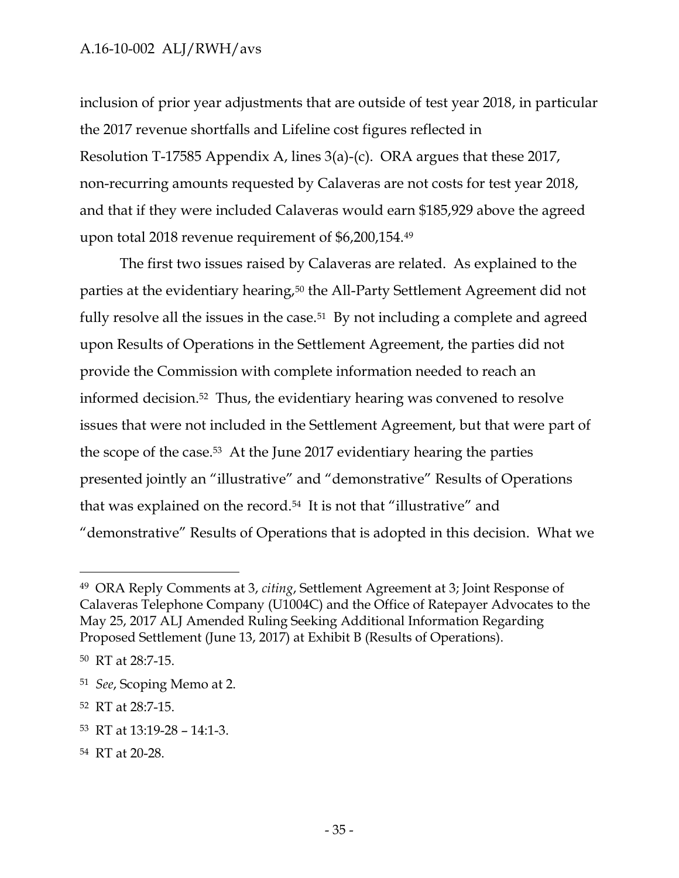inclusion of prior year adjustments that are outside of test year 2018, in particular the 2017 revenue shortfalls and Lifeline cost figures reflected in Resolution T-17585 Appendix A, lines 3(a)-(c). ORA argues that these 2017, non-recurring amounts requested by Calaveras are not costs for test year 2018, and that if they were included Calaveras would earn \$185,929 above the agreed upon total 2018 revenue requirement of \$6,200,154.<sup>49</sup>

The first two issues raised by Calaveras are related. As explained to the parties at the evidentiary hearing,<sup>50</sup> the All-Party Settlement Agreement did not fully resolve all the issues in the case.<sup>51</sup> By not including a complete and agreed upon Results of Operations in the Settlement Agreement, the parties did not provide the Commission with complete information needed to reach an informed decision.52 Thus, the evidentiary hearing was convened to resolve issues that were not included in the Settlement Agreement, but that were part of the scope of the case.53 At the June 2017 evidentiary hearing the parties presented jointly an "illustrative" and "demonstrative" Results of Operations that was explained on the record.<sup>54</sup> It is not that "illustrative" and "demonstrative" Results of Operations that is adopted in this decision. What we

 $\overline{a}$ 

<sup>54</sup> RT at 20-28.

<sup>49</sup> ORA Reply Comments at 3, *citing*, Settlement Agreement at 3; Joint Response of Calaveras Telephone Company (U1004C) and the Office of Ratepayer Advocates to the May 25, 2017 ALJ Amended Ruling Seeking Additional Information Regarding Proposed Settlement (June 13, 2017) at Exhibit B (Results of Operations).

<sup>50</sup> RT at 28:7-15.

<sup>51</sup> *See*, Scoping Memo at 2.

<sup>52</sup> RT at 28:7-15.

<sup>53</sup> RT at 13:19-28 – 14:1-3.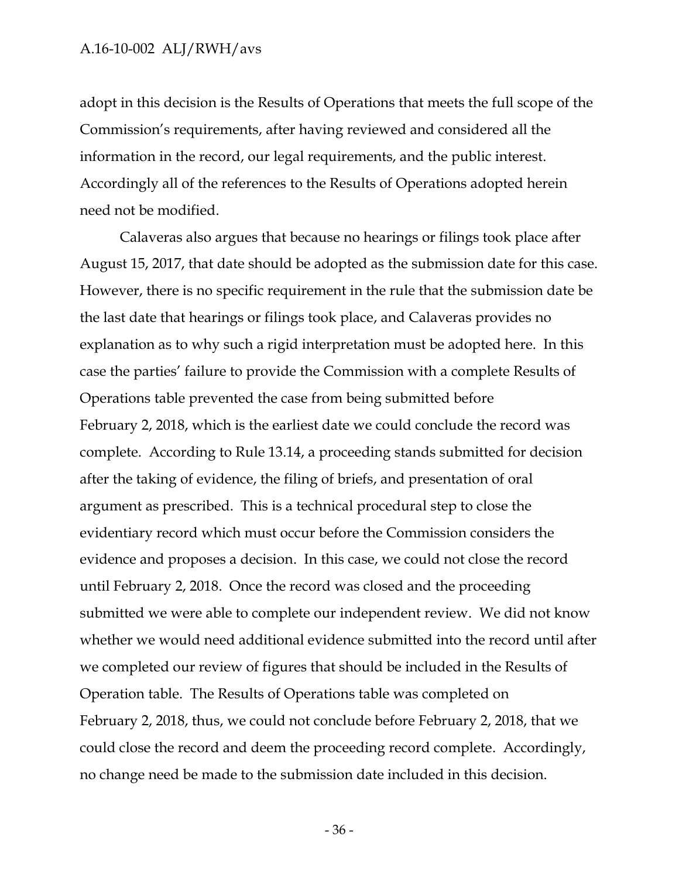adopt in this decision is the Results of Operations that meets the full scope of the Commission's requirements, after having reviewed and considered all the information in the record, our legal requirements, and the public interest. Accordingly all of the references to the Results of Operations adopted herein need not be modified.

Calaveras also argues that because no hearings or filings took place after August 15, 2017, that date should be adopted as the submission date for this case. However, there is no specific requirement in the rule that the submission date be the last date that hearings or filings took place, and Calaveras provides no explanation as to why such a rigid interpretation must be adopted here. In this case the parties' failure to provide the Commission with a complete Results of Operations table prevented the case from being submitted before February 2, 2018, which is the earliest date we could conclude the record was complete. According to Rule 13.14, a proceeding stands submitted for decision after the taking of evidence, the filing of briefs, and presentation of oral argument as prescribed. This is a technical procedural step to close the evidentiary record which must occur before the Commission considers the evidence and proposes a decision. In this case, we could not close the record until February 2, 2018. Once the record was closed and the proceeding submitted we were able to complete our independent review. We did not know whether we would need additional evidence submitted into the record until after we completed our review of figures that should be included in the Results of Operation table. The Results of Operations table was completed on February 2, 2018, thus, we could not conclude before February 2, 2018, that we could close the record and deem the proceeding record complete. Accordingly, no change need be made to the submission date included in this decision.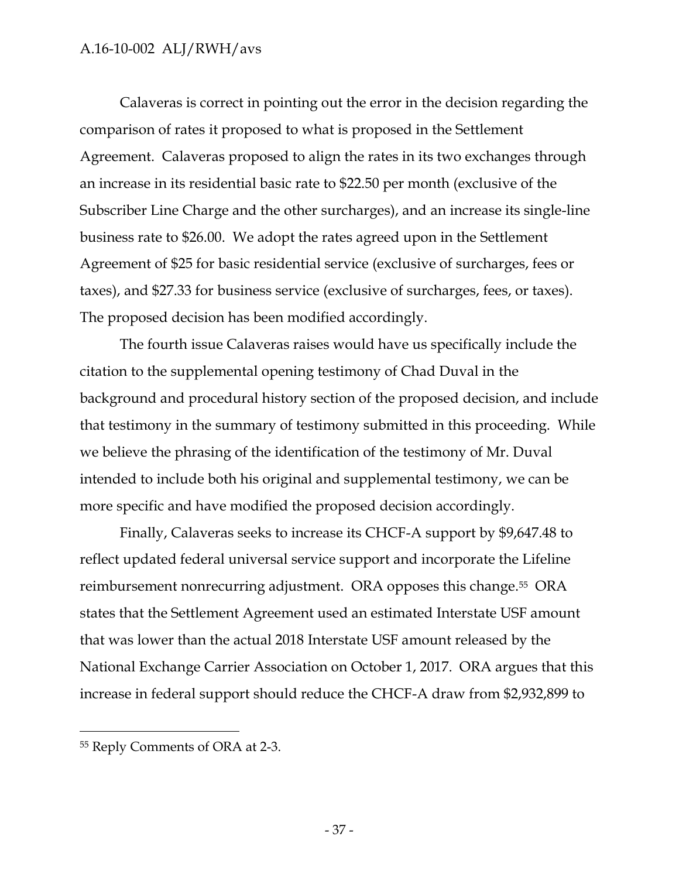Calaveras is correct in pointing out the error in the decision regarding the comparison of rates it proposed to what is proposed in the Settlement Agreement. Calaveras proposed to align the rates in its two exchanges through an increase in its residential basic rate to \$22.50 per month (exclusive of the Subscriber Line Charge and the other surcharges), and an increase its single-line business rate to \$26.00. We adopt the rates agreed upon in the Settlement Agreement of \$25 for basic residential service (exclusive of surcharges, fees or taxes), and \$27.33 for business service (exclusive of surcharges, fees, or taxes). The proposed decision has been modified accordingly.

The fourth issue Calaveras raises would have us specifically include the citation to the supplemental opening testimony of Chad Duval in the background and procedural history section of the proposed decision, and include that testimony in the summary of testimony submitted in this proceeding. While we believe the phrasing of the identification of the testimony of Mr. Duval intended to include both his original and supplemental testimony, we can be more specific and have modified the proposed decision accordingly.

Finally, Calaveras seeks to increase its CHCF-A support by \$9,647.48 to reflect updated federal universal service support and incorporate the Lifeline reimbursement nonrecurring adjustment. ORA opposes this change.<sup>55</sup> ORA states that the Settlement Agreement used an estimated Interstate USF amount that was lower than the actual 2018 Interstate USF amount released by the National Exchange Carrier Association on October 1, 2017. ORA argues that this increase in federal support should reduce the CHCF-A draw from \$2,932,899 to

<sup>55</sup> Reply Comments of ORA at 2-3.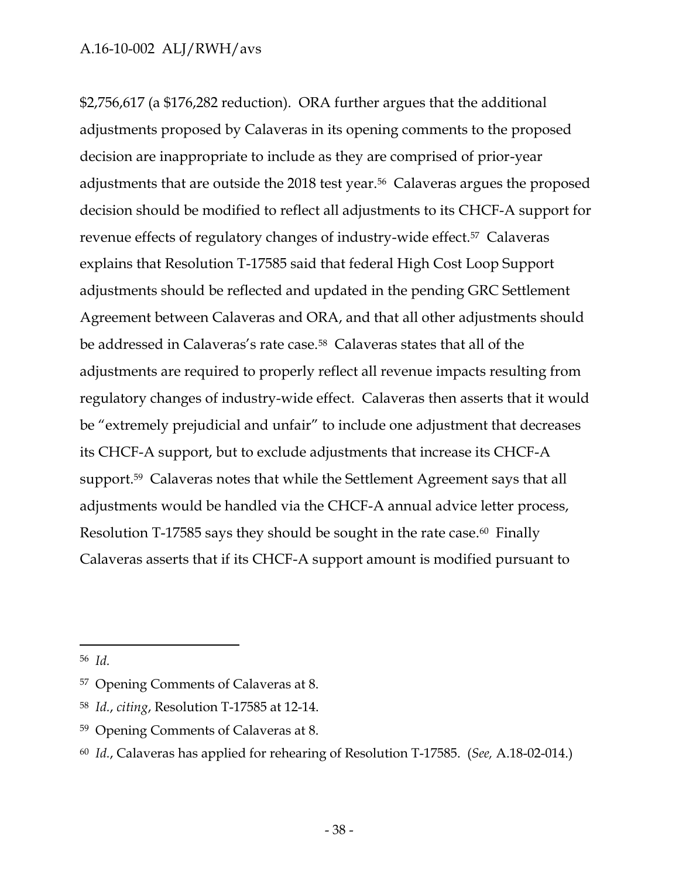\$2,756,617 (a \$176,282 reduction). ORA further argues that the additional adjustments proposed by Calaveras in its opening comments to the proposed decision are inappropriate to include as they are comprised of prior-year adjustments that are outside the 2018 test year.<sup>56</sup> Calaveras argues the proposed decision should be modified to reflect all adjustments to its CHCF-A support for revenue effects of regulatory changes of industry-wide effect.57 Calaveras explains that Resolution T-17585 said that federal High Cost Loop Support adjustments should be reflected and updated in the pending GRC Settlement Agreement between Calaveras and ORA, and that all other adjustments should be addressed in Calaveras's rate case.<sup>58</sup> Calaveras states that all of the adjustments are required to properly reflect all revenue impacts resulting from regulatory changes of industry-wide effect. Calaveras then asserts that it would be "extremely prejudicial and unfair" to include one adjustment that decreases its CHCF-A support, but to exclude adjustments that increase its CHCF-A support.59 Calaveras notes that while the Settlement Agreement says that all adjustments would be handled via the CHCF-A annual advice letter process, Resolution T-17585 says they should be sought in the rate case.<sup>60</sup> Finally Calaveras asserts that if its CHCF-A support amount is modified pursuant to

<sup>56</sup> *Id.*

<sup>57</sup> Opening Comments of Calaveras at 8.

<sup>58</sup> *Id.*, *citing*, Resolution T-17585 at 12-14.

<sup>59</sup> Opening Comments of Calaveras at 8.

<sup>60</sup> *Id.*, Calaveras has applied for rehearing of Resolution T-17585. (*See,* A.18-02-014.)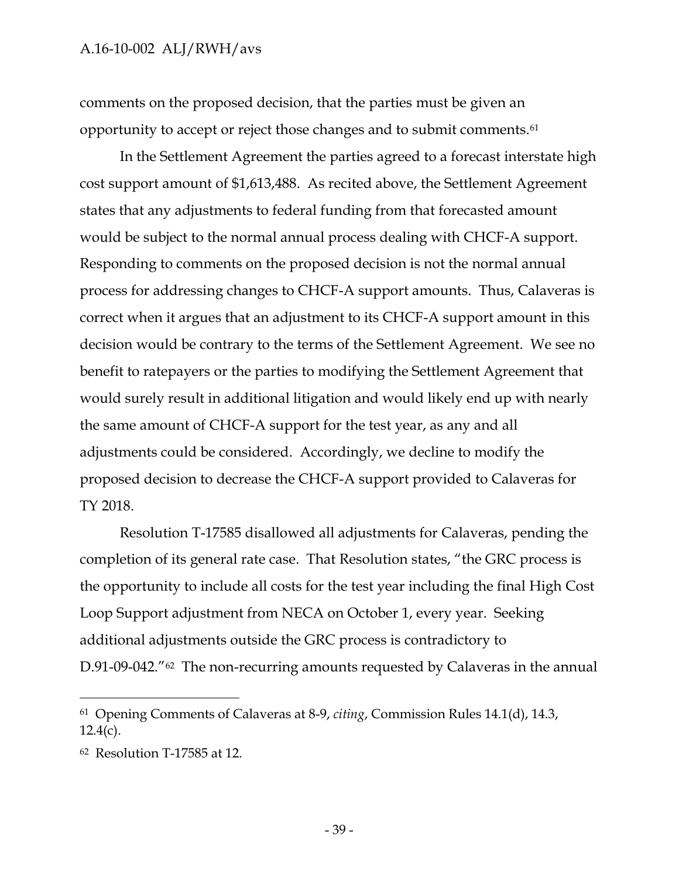comments on the proposed decision, that the parties must be given an opportunity to accept or reject those changes and to submit comments.<sup>61</sup>

In the Settlement Agreement the parties agreed to a forecast interstate high cost support amount of \$1,613,488. As recited above, the Settlement Agreement states that any adjustments to federal funding from that forecasted amount would be subject to the normal annual process dealing with CHCF-A support. Responding to comments on the proposed decision is not the normal annual process for addressing changes to CHCF-A support amounts. Thus, Calaveras is correct when it argues that an adjustment to its CHCF-A support amount in this decision would be contrary to the terms of the Settlement Agreement. We see no benefit to ratepayers or the parties to modifying the Settlement Agreement that would surely result in additional litigation and would likely end up with nearly the same amount of CHCF-A support for the test year, as any and all adjustments could be considered. Accordingly, we decline to modify the proposed decision to decrease the CHCF-A support provided to Calaveras for TY 2018.

Resolution T-17585 disallowed all adjustments for Calaveras, pending the completion of its general rate case. That Resolution states, "the GRC process is the opportunity to include all costs for the test year including the final High Cost Loop Support adjustment from NECA on October 1, every year. Seeking additional adjustments outside the GRC process is contradictory to D.91-09-042."<sup>62</sup> The non-recurring amounts requested by Calaveras in the annual

<sup>61</sup> Opening Comments of Calaveras at 8-9, *citing*, Commission Rules 14.1(d), 14.3,  $12.4(c)$ .

<sup>62</sup> Resolution T-17585 at 12.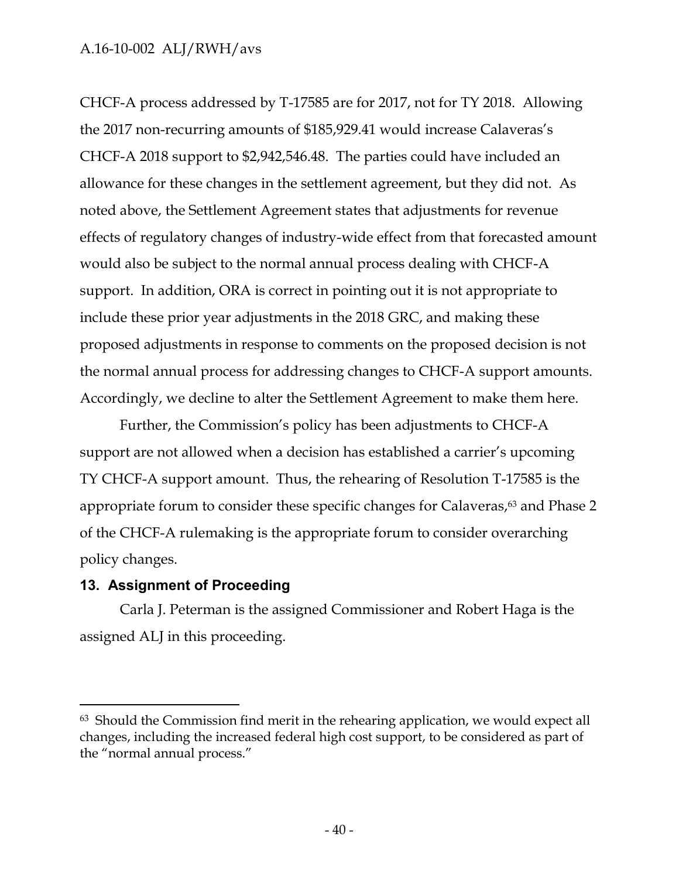CHCF-A process addressed by T-17585 are for 2017, not for TY 2018. Allowing the 2017 non-recurring amounts of \$185,929.41 would increase Calaveras's CHCF-A 2018 support to \$2,942,546.48. The parties could have included an allowance for these changes in the settlement agreement, but they did not. As noted above, the Settlement Agreement states that adjustments for revenue effects of regulatory changes of industry-wide effect from that forecasted amount would also be subject to the normal annual process dealing with CHCF-A support. In addition, ORA is correct in pointing out it is not appropriate to include these prior year adjustments in the 2018 GRC, and making these proposed adjustments in response to comments on the proposed decision is not the normal annual process for addressing changes to CHCF-A support amounts. Accordingly, we decline to alter the Settlement Agreement to make them here.

Further, the Commission's policy has been adjustments to CHCF-A support are not allowed when a decision has established a carrier's upcoming TY CHCF-A support amount. Thus, the rehearing of Resolution T-17585 is the appropriate forum to consider these specific changes for Calaveras,<sup>63</sup> and Phase 2 of the CHCF-A rulemaking is the appropriate forum to consider overarching policy changes.

### <span id="page-41-0"></span>**13. Assignment of Proceeding**

 $\overline{a}$ 

Carla J. Peterman is the assigned Commissioner and Robert Haga is the assigned ALJ in this proceeding.

<sup>63</sup> Should the Commission find merit in the rehearing application, we would expect all changes, including the increased federal high cost support, to be considered as part of the "normal annual process."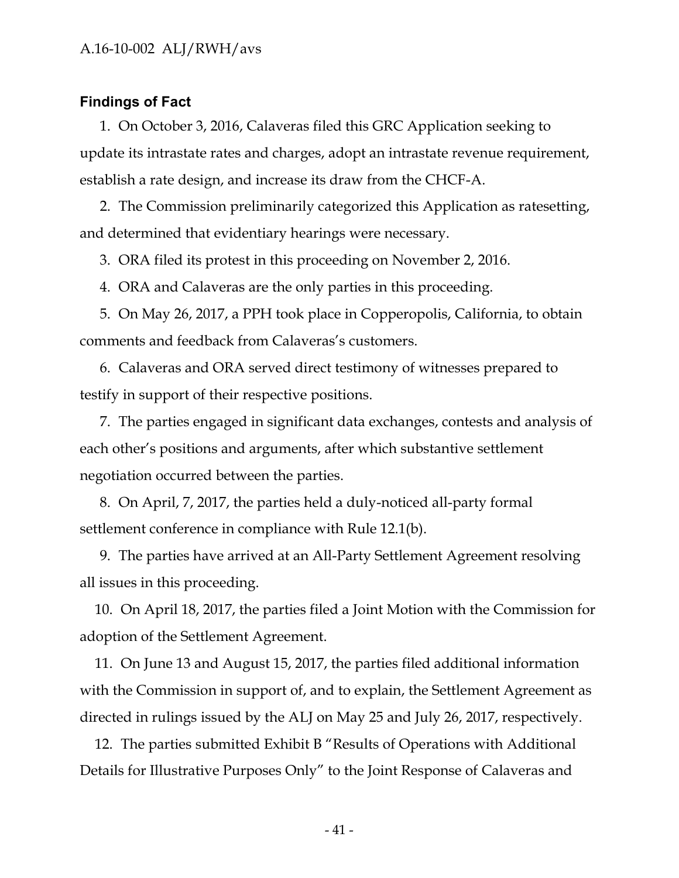#### <span id="page-42-0"></span>**Findings of Fact**

1. On October 3, 2016, Calaveras filed this GRC Application seeking to update its intrastate rates and charges, adopt an intrastate revenue requirement, establish a rate design, and increase its draw from the CHCF-A.

2. The Commission preliminarily categorized this Application as ratesetting, and determined that evidentiary hearings were necessary.

3. ORA filed its protest in this proceeding on November 2, 2016.

4. ORA and Calaveras are the only parties in this proceeding.

5. On May 26, 2017, a PPH took place in Copperopolis, California, to obtain comments and feedback from Calaveras's customers.

6. Calaveras and ORA served direct testimony of witnesses prepared to testify in support of their respective positions.

7. The parties engaged in significant data exchanges, contests and analysis of each other's positions and arguments, after which substantive settlement negotiation occurred between the parties.

8. On April, 7, 2017, the parties held a duly-noticed all-party formal settlement conference in compliance with Rule 12.1(b).

9. The parties have arrived at an All-Party Settlement Agreement resolving all issues in this proceeding.

10. On April 18, 2017, the parties filed a Joint Motion with the Commission for adoption of the Settlement Agreement.

11. On June 13 and August 15, 2017, the parties filed additional information with the Commission in support of, and to explain, the Settlement Agreement as directed in rulings issued by the ALJ on May 25 and July 26, 2017, respectively.

12. The parties submitted Exhibit B "Results of Operations with Additional Details for Illustrative Purposes Only" to the Joint Response of Calaveras and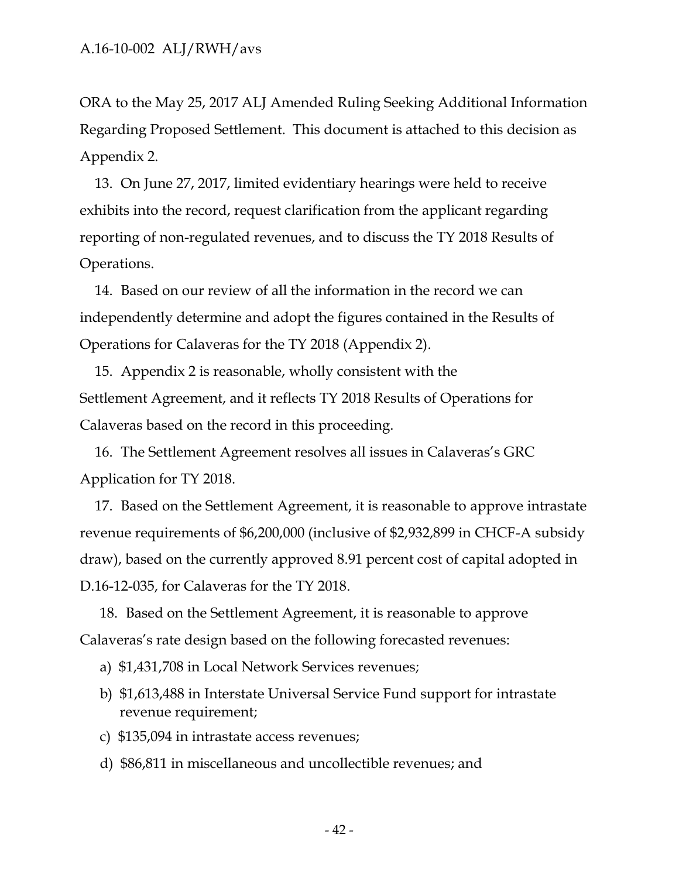ORA to the May 25, 2017 ALJ Amended Ruling Seeking Additional Information Regarding Proposed Settlement. This document is attached to this decision as Appendix 2.

13. On June 27, 2017, limited evidentiary hearings were held to receive exhibits into the record, request clarification from the applicant regarding reporting of non-regulated revenues, and to discuss the TY 2018 Results of Operations.

14. Based on our review of all the information in the record we can independently determine and adopt the figures contained in the Results of Operations for Calaveras for the TY 2018 (Appendix 2).

15. Appendix 2 is reasonable, wholly consistent with the Settlement Agreement, and it reflects TY 2018 Results of Operations for Calaveras based on the record in this proceeding.

16. The Settlement Agreement resolves all issues in Calaveras's GRC Application for TY 2018.

17. Based on the Settlement Agreement, it is reasonable to approve intrastate revenue requirements of \$6,200,000 (inclusive of \$2,932,899 in CHCF-A subsidy draw), based on the currently approved 8.91 percent cost of capital adopted in D.16-12-035, for Calaveras for the TY 2018.

18. Based on the Settlement Agreement, it is reasonable to approve Calaveras's rate design based on the following forecasted revenues:

- a) \$1,431,708 in Local Network Services revenues;
- b) \$1,613,488 in Interstate Universal Service Fund support for intrastate revenue requirement;
- c) \$135,094 in intrastate access revenues;
- d) \$86,811 in miscellaneous and uncollectible revenues; and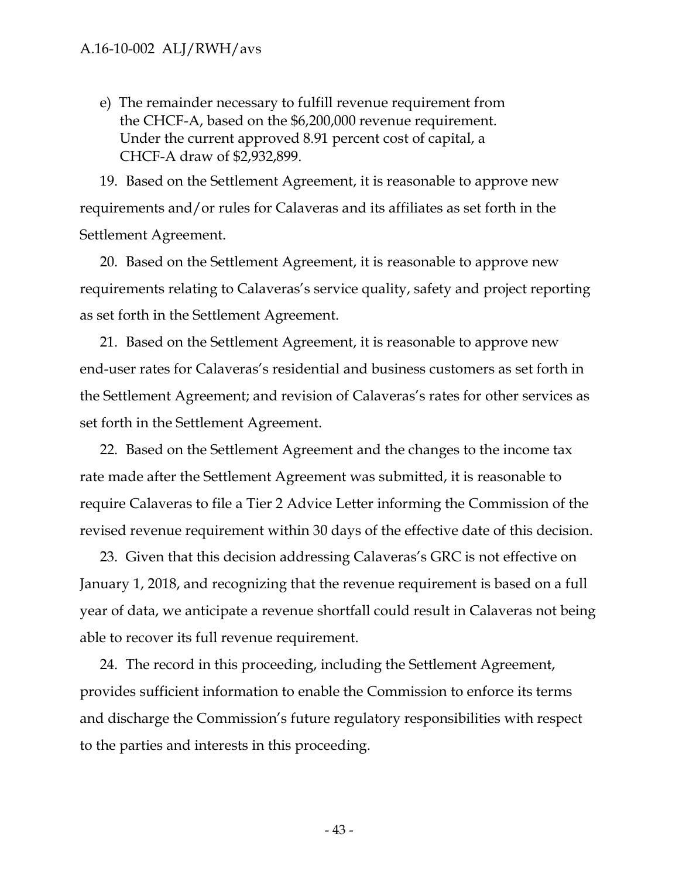e) The remainder necessary to fulfill revenue requirement from the CHCF-A, based on the \$6,200,000 revenue requirement. Under the current approved 8.91 percent cost of capital, a CHCF-A draw of \$2,932,899.

19. Based on the Settlement Agreement, it is reasonable to approve new requirements and/or rules for Calaveras and its affiliates as set forth in the Settlement Agreement.

20. Based on the Settlement Agreement, it is reasonable to approve new requirements relating to Calaveras's service quality, safety and project reporting as set forth in the Settlement Agreement.

21. Based on the Settlement Agreement, it is reasonable to approve new end-user rates for Calaveras's residential and business customers as set forth in the Settlement Agreement; and revision of Calaveras's rates for other services as set forth in the Settlement Agreement.

22. Based on the Settlement Agreement and the changes to the income tax rate made after the Settlement Agreement was submitted, it is reasonable to require Calaveras to file a Tier 2 Advice Letter informing the Commission of the revised revenue requirement within 30 days of the effective date of this decision.

23. Given that this decision addressing Calaveras's GRC is not effective on January 1, 2018, and recognizing that the revenue requirement is based on a full year of data, we anticipate a revenue shortfall could result in Calaveras not being able to recover its full revenue requirement.

24. The record in this proceeding, including the Settlement Agreement, provides sufficient information to enable the Commission to enforce its terms and discharge the Commission's future regulatory responsibilities with respect to the parties and interests in this proceeding.

- 43 -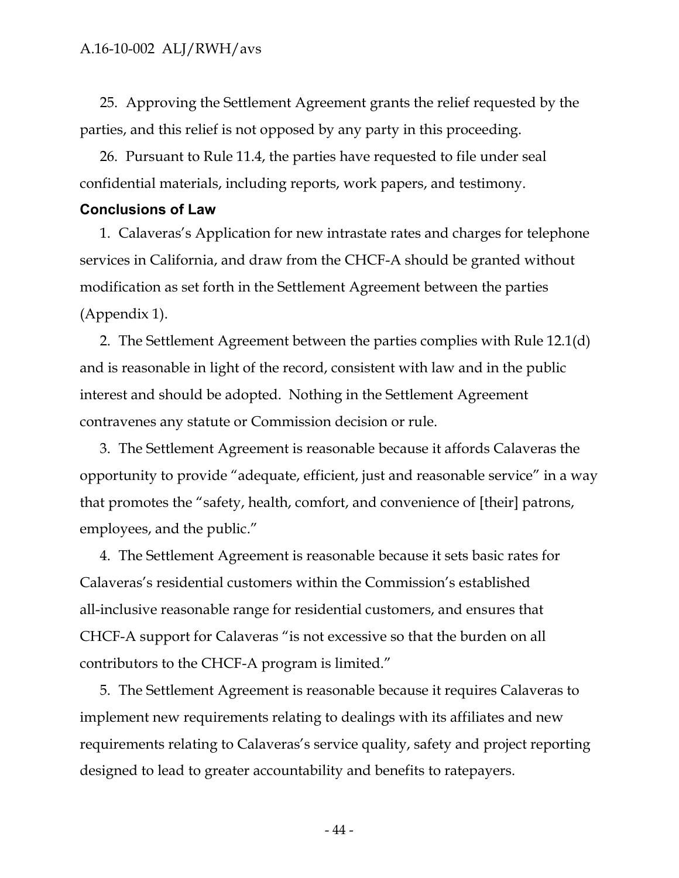25. Approving the Settlement Agreement grants the relief requested by the parties, and this relief is not opposed by any party in this proceeding.

26. Pursuant to Rule 11.4, the parties have requested to file under seal confidential materials, including reports, work papers, and testimony.

#### <span id="page-45-0"></span>**Conclusions of Law**

1. Calaveras's Application for new intrastate rates and charges for telephone services in California, and draw from the CHCF-A should be granted without modification as set forth in the Settlement Agreement between the parties (Appendix 1).

2. The Settlement Agreement between the parties complies with Rule 12.1(d) and is reasonable in light of the record, consistent with law and in the public interest and should be adopted. Nothing in the Settlement Agreement contravenes any statute or Commission decision or rule.

3. The Settlement Agreement is reasonable because it affords Calaveras the opportunity to provide "adequate, efficient, just and reasonable service" in a way that promotes the "safety, health, comfort, and convenience of [their] patrons, employees, and the public."

4. The Settlement Agreement is reasonable because it sets basic rates for Calaveras's residential customers within the Commission's established all-inclusive reasonable range for residential customers, and ensures that CHCF-A support for Calaveras "is not excessive so that the burden on all contributors to the CHCF-A program is limited."

5. The Settlement Agreement is reasonable because it requires Calaveras to implement new requirements relating to dealings with its affiliates and new requirements relating to Calaveras's service quality, safety and project reporting designed to lead to greater accountability and benefits to ratepayers.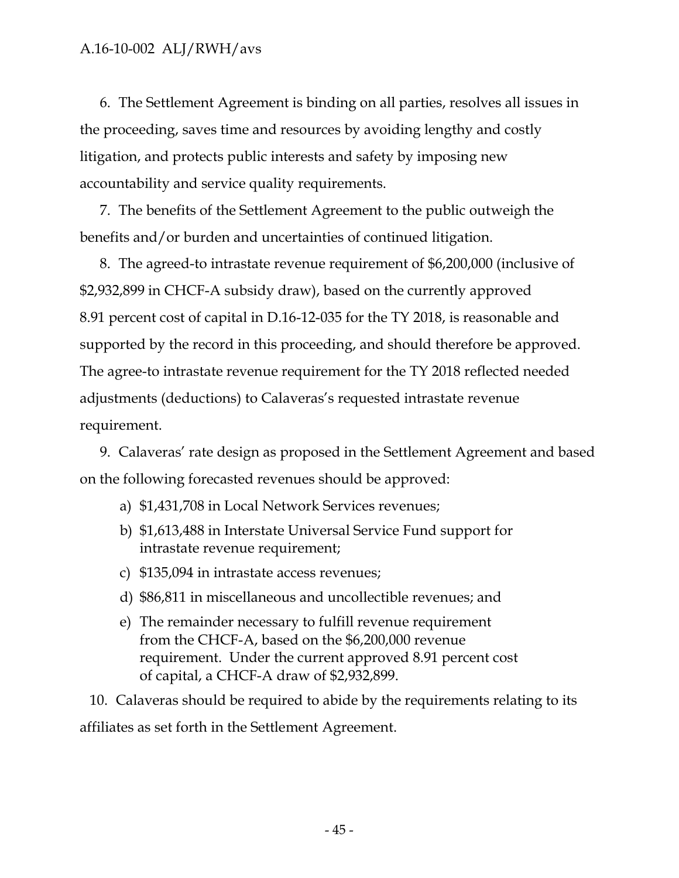6. The Settlement Agreement is binding on all parties, resolves all issues in the proceeding, saves time and resources by avoiding lengthy and costly litigation, and protects public interests and safety by imposing new accountability and service quality requirements.

7. The benefits of the Settlement Agreement to the public outweigh the benefits and/or burden and uncertainties of continued litigation.

8. The agreed-to intrastate revenue requirement of \$6,200,000 (inclusive of \$2,932,899 in CHCF-A subsidy draw), based on the currently approved 8.91 percent cost of capital in D.16-12-035 for the TY 2018, is reasonable and supported by the record in this proceeding, and should therefore be approved. The agree-to intrastate revenue requirement for the TY 2018 reflected needed adjustments (deductions) to Calaveras's requested intrastate revenue requirement.

9. Calaveras' rate design as proposed in the Settlement Agreement and based on the following forecasted revenues should be approved:

- a) \$1,431,708 in Local Network Services revenues;
- b) \$1,613,488 in Interstate Universal Service Fund support for intrastate revenue requirement;
- c) \$135,094 in intrastate access revenues;
- d) \$86,811 in miscellaneous and uncollectible revenues; and
- e) The remainder necessary to fulfill revenue requirement from the CHCF-A, based on the \$6,200,000 revenue requirement. Under the current approved 8.91 percent cost of capital, a CHCF-A draw of \$2,932,899.

10. Calaveras should be required to abide by the requirements relating to its affiliates as set forth in the Settlement Agreement.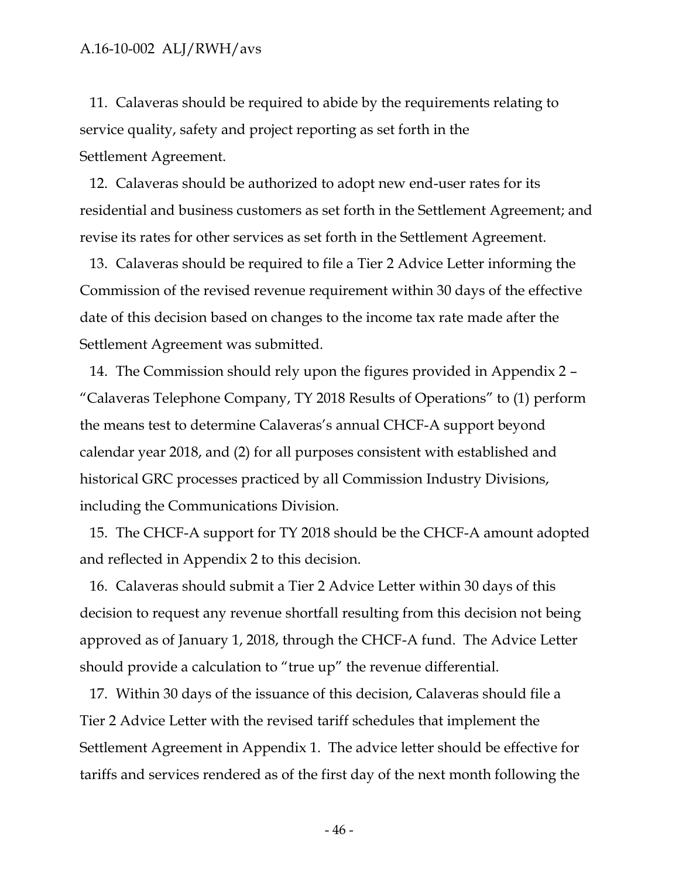11. Calaveras should be required to abide by the requirements relating to service quality, safety and project reporting as set forth in the Settlement Agreement.

12. Calaveras should be authorized to adopt new end-user rates for its residential and business customers as set forth in the Settlement Agreement; and revise its rates for other services as set forth in the Settlement Agreement.

13. Calaveras should be required to file a Tier 2 Advice Letter informing the Commission of the revised revenue requirement within 30 days of the effective date of this decision based on changes to the income tax rate made after the Settlement Agreement was submitted.

14. The Commission should rely upon the figures provided in Appendix 2 – "Calaveras Telephone Company, TY 2018 Results of Operations" to (1) perform the means test to determine Calaveras's annual CHCF-A support beyond calendar year 2018, and (2) for all purposes consistent with established and historical GRC processes practiced by all Commission Industry Divisions, including the Communications Division.

15. The CHCF-A support for TY 2018 should be the CHCF-A amount adopted and reflected in Appendix 2 to this decision.

16. Calaveras should submit a Tier 2 Advice Letter within 30 days of this decision to request any revenue shortfall resulting from this decision not being approved as of January 1, 2018, through the CHCF-A fund. The Advice Letter should provide a calculation to "true up" the revenue differential.

17. Within 30 days of the issuance of this decision, Calaveras should file a Tier 2 Advice Letter with the revised tariff schedules that implement the Settlement Agreement in Appendix 1. The advice letter should be effective for tariffs and services rendered as of the first day of the next month following the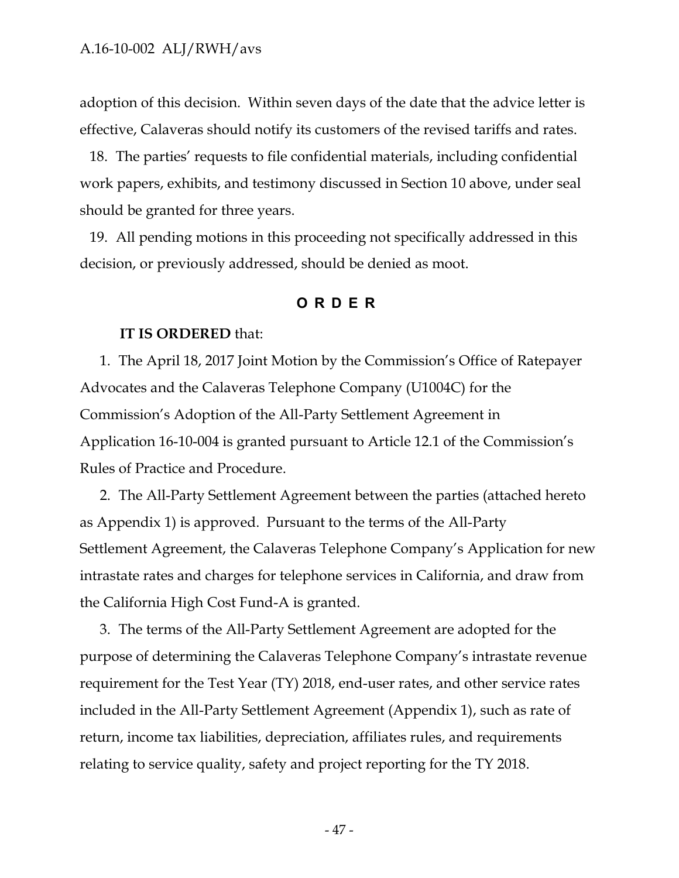adoption of this decision. Within seven days of the date that the advice letter is effective, Calaveras should notify its customers of the revised tariffs and rates.

18. The parties' requests to file confidential materials, including confidential work papers, exhibits, and testimony discussed in Section 10 above, under seal should be granted for three years.

<span id="page-48-0"></span>19. All pending motions in this proceeding not specifically addressed in this decision, or previously addressed, should be denied as moot.

#### **ORDER**

#### **IT IS ORDERED** that:

1. The April 18, 2017 Joint Motion by the Commission's Office of Ratepayer Advocates and the Calaveras Telephone Company (U1004C) for the Commission's Adoption of the All-Party Settlement Agreement in Application 16-10-004 is granted pursuant to Article 12.1 of the Commission's Rules of Practice and Procedure.

2. The All-Party Settlement Agreement between the parties (attached hereto as Appendix 1) is approved. Pursuant to the terms of the All-Party Settlement Agreement, the Calaveras Telephone Company's Application for new intrastate rates and charges for telephone services in California, and draw from the California High Cost Fund-A is granted.

3. The terms of the All-Party Settlement Agreement are adopted for the purpose of determining the Calaveras Telephone Company's intrastate revenue requirement for the Test Year (TY) 2018, end-user rates, and other service rates included in the All-Party Settlement Agreement (Appendix 1), such as rate of return, income tax liabilities, depreciation, affiliates rules, and requirements relating to service quality, safety and project reporting for the TY 2018.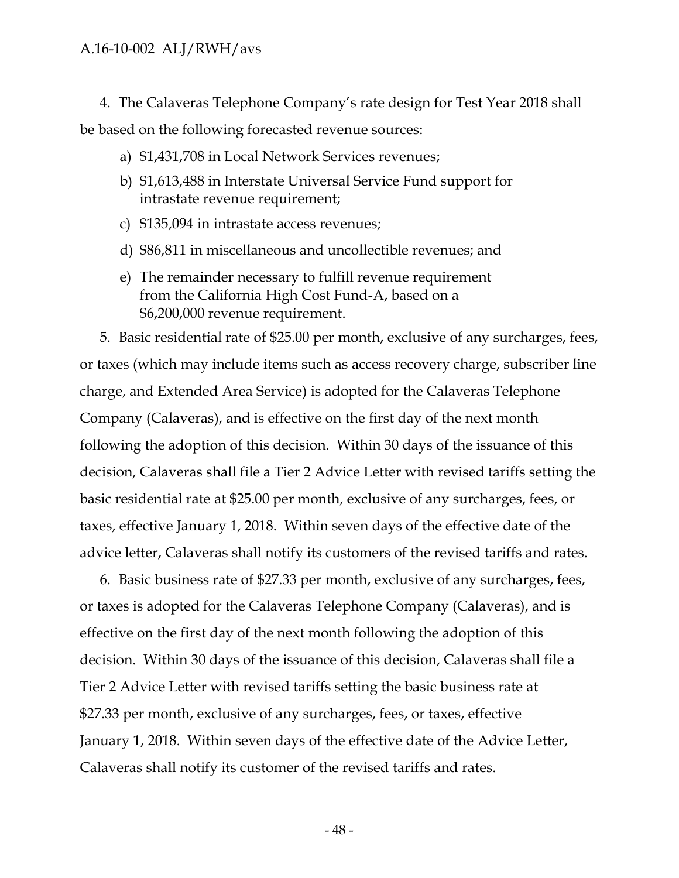4. The Calaveras Telephone Company's rate design for Test Year 2018 shall be based on the following forecasted revenue sources:

- a) \$1,431,708 in Local Network Services revenues;
- b) \$1,613,488 in Interstate Universal Service Fund support for intrastate revenue requirement;
- c) \$135,094 in intrastate access revenues;
- d) \$86,811 in miscellaneous and uncollectible revenues; and
- e) The remainder necessary to fulfill revenue requirement from the California High Cost Fund-A, based on a \$6,200,000 revenue requirement.

5. Basic residential rate of \$25.00 per month, exclusive of any surcharges, fees, or taxes (which may include items such as access recovery charge, subscriber line charge, and Extended Area Service) is adopted for the Calaveras Telephone Company (Calaveras), and is effective on the first day of the next month following the adoption of this decision. Within 30 days of the issuance of this decision, Calaveras shall file a Tier 2 Advice Letter with revised tariffs setting the basic residential rate at \$25.00 per month, exclusive of any surcharges, fees, or taxes, effective January 1, 2018. Within seven days of the effective date of the advice letter, Calaveras shall notify its customers of the revised tariffs and rates.

6. Basic business rate of \$27.33 per month, exclusive of any surcharges, fees, or taxes is adopted for the Calaveras Telephone Company (Calaveras), and is effective on the first day of the next month following the adoption of this decision. Within 30 days of the issuance of this decision, Calaveras shall file a Tier 2 Advice Letter with revised tariffs setting the basic business rate at \$27.33 per month, exclusive of any surcharges, fees, or taxes, effective January 1, 2018. Within seven days of the effective date of the Advice Letter, Calaveras shall notify its customer of the revised tariffs and rates.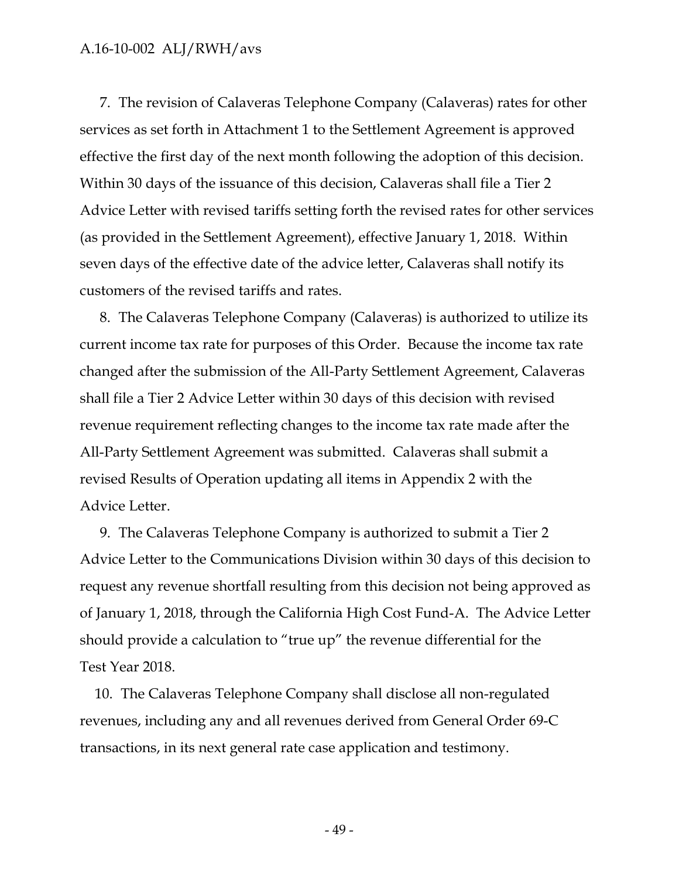7. The revision of Calaveras Telephone Company (Calaveras) rates for other services as set forth in Attachment 1 to the Settlement Agreement is approved effective the first day of the next month following the adoption of this decision. Within 30 days of the issuance of this decision, Calaveras shall file a Tier 2 Advice Letter with revised tariffs setting forth the revised rates for other services (as provided in the Settlement Agreement), effective January 1, 2018. Within seven days of the effective date of the advice letter, Calaveras shall notify its customers of the revised tariffs and rates.

8. The Calaveras Telephone Company (Calaveras) is authorized to utilize its current income tax rate for purposes of this Order. Because the income tax rate changed after the submission of the All-Party Settlement Agreement, Calaveras shall file a Tier 2 Advice Letter within 30 days of this decision with revised revenue requirement reflecting changes to the income tax rate made after the All-Party Settlement Agreement was submitted. Calaveras shall submit a revised Results of Operation updating all items in Appendix 2 with the Advice Letter.

9. The Calaveras Telephone Company is authorized to submit a Tier 2 Advice Letter to the Communications Division within 30 days of this decision to request any revenue shortfall resulting from this decision not being approved as of January 1, 2018, through the California High Cost Fund-A. The Advice Letter should provide a calculation to "true up" the revenue differential for the Test Year 2018.

10. The Calaveras Telephone Company shall disclose all non-regulated revenues, including any and all revenues derived from General Order 69-C transactions, in its next general rate case application and testimony.

- 49 -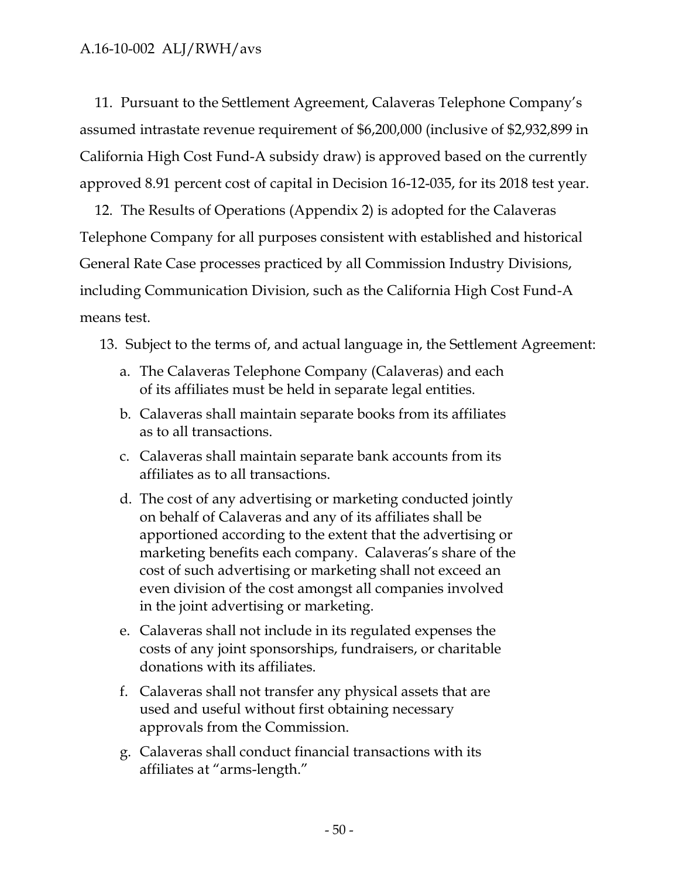11. Pursuant to the Settlement Agreement, Calaveras Telephone Company's assumed intrastate revenue requirement of \$6,200,000 (inclusive of \$2,932,899 in California High Cost Fund-A subsidy draw) is approved based on the currently approved 8.91 percent cost of capital in Decision 16-12-035, for its 2018 test year.

12. The Results of Operations (Appendix 2) is adopted for the Calaveras Telephone Company for all purposes consistent with established and historical General Rate Case processes practiced by all Commission Industry Divisions, including Communication Division, such as the California High Cost Fund-A means test.

13. Subject to the terms of, and actual language in, the Settlement Agreement:

- a. The Calaveras Telephone Company (Calaveras) and each of its affiliates must be held in separate legal entities.
- b. Calaveras shall maintain separate books from its affiliates as to all transactions.
- c. Calaveras shall maintain separate bank accounts from its affiliates as to all transactions.
- d. The cost of any advertising or marketing conducted jointly on behalf of Calaveras and any of its affiliates shall be apportioned according to the extent that the advertising or marketing benefits each company. Calaveras's share of the cost of such advertising or marketing shall not exceed an even division of the cost amongst all companies involved in the joint advertising or marketing.
- e. Calaveras shall not include in its regulated expenses the costs of any joint sponsorships, fundraisers, or charitable donations with its affiliates.
- f. Calaveras shall not transfer any physical assets that are used and useful without first obtaining necessary approvals from the Commission.
- g. Calaveras shall conduct financial transactions with its affiliates at "arms-length."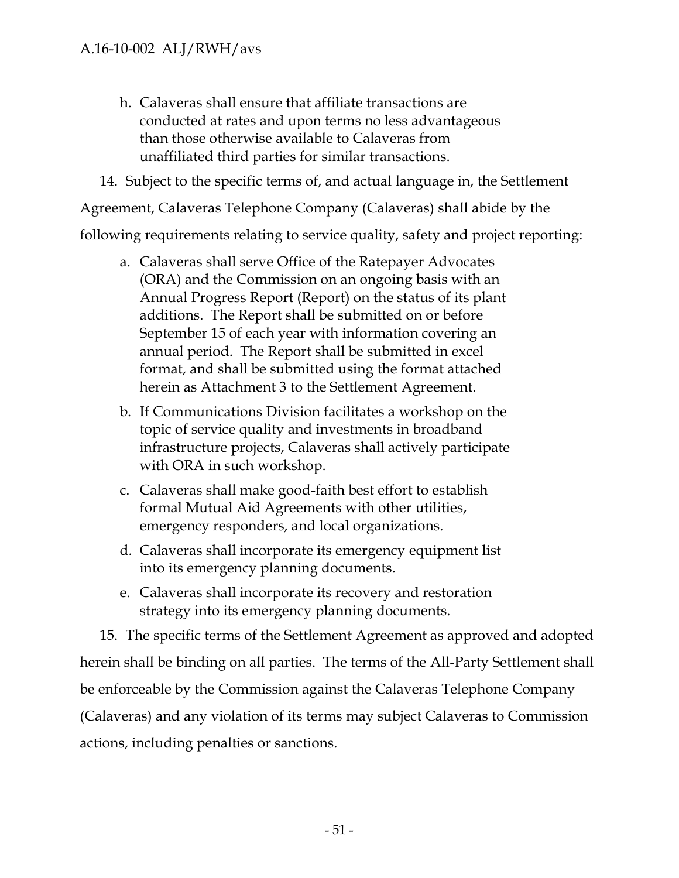- h. Calaveras shall ensure that affiliate transactions are conducted at rates and upon terms no less advantageous than those otherwise available to Calaveras from unaffiliated third parties for similar transactions.
- 14. Subject to the specific terms of, and actual language in, the Settlement

Agreement, Calaveras Telephone Company (Calaveras) shall abide by the

following requirements relating to service quality, safety and project reporting:

- a. Calaveras shall serve Office of the Ratepayer Advocates (ORA) and the Commission on an ongoing basis with an Annual Progress Report (Report) on the status of its plant additions. The Report shall be submitted on or before September 15 of each year with information covering an annual period. The Report shall be submitted in excel format, and shall be submitted using the format attached herein as Attachment 3 to the Settlement Agreement.
- b. If Communications Division facilitates a workshop on the topic of service quality and investments in broadband infrastructure projects, Calaveras shall actively participate with ORA in such workshop.
- c. Calaveras shall make good-faith best effort to establish formal Mutual Aid Agreements with other utilities, emergency responders, and local organizations.
- d. Calaveras shall incorporate its emergency equipment list into its emergency planning documents.
- e. Calaveras shall incorporate its recovery and restoration strategy into its emergency planning documents.

15. The specific terms of the Settlement Agreement as approved and adopted herein shall be binding on all parties. The terms of the All-Party Settlement shall be enforceable by the Commission against the Calaveras Telephone Company (Calaveras) and any violation of its terms may subject Calaveras to Commission actions, including penalties or sanctions.